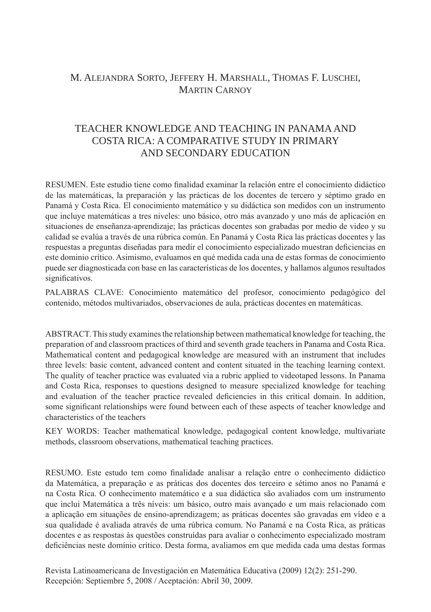# M. Alejandra Sorto, Jeffery H. Marshall, Thomas F. Luschei, Martin Carnoy

# TEACHER KNOWLEDGE AND TEACHING IN PANAMA AND COSTA RICA: A COMPARATIVE STUDY IN PRIMARY AND SECONDARY EDUCATION

RESUMEN. Este estudio tiene como finalidad examinar la relación entre el conocimiento didáctico de las matemáticas, la preparación y las prácticas de los docentes de tercero y séptimo grado en Panamá y Costa Rica. El conocimiento matemático y su didáctica son medidos con un instrumento que incluye matemáticas a tres niveles: uno básico, otro más avanzado y uno más de aplicación en situaciones de enseñanza-aprendizaje; las prácticas docentes son grabadas por medio de video y su calidad se evalúa a través de una rúbrica común. En Panamá y Costa Rica las prácticas docentes y las respuestas a preguntas diseñadas para medir el conocimiento especializado muestran deficiencias en este dominio crítico. Asimismo, evaluamos en qué medida cada una de estas formas de conocimiento puede ser diagnosticada con base en las características de los docentes, y hallamos algunos resultados significativos.

PALABRAS CLAVE: Conocimiento matemático del profesor, conocimiento pedagógico del contenido, métodos multivariados, observaciones de aula, prácticas docentes en matemáticas.

ABSTRACT. This study examines the relationship between mathematical knowledge for teaching, the preparation of and classroom practices of third and seventh grade teachers in Panama and Costa Rica. Mathematical content and pedagogical knowledge are measured with an instrument that includes three levels: basic content, advanced content and content situated in the teaching learning context. The quality of teacher practice was evaluated via a rubric applied to videotaped lessons. In Panama and Costa Rica, responses to questions designed to measure specialized knowledge for teaching and evaluation of the teacher practice revealed deficiencies in this critical domain. In addition, some significant relationships were found between each of these aspects of teacher knowledge and characteristics of the teachers

KEY WORDS: Teacher mathematical knowledge, pedagogical content knowledge, multivariate methods, classroom observations, mathematical teaching practices.

RESUMO. Este estudo tem como finalidade analisar a relação entre o conhecimento didáctico da Matemática, a preparação e as práticas dos docentes dos terceiro e sétimo anos no Panamá e na Costa Rica. O conhecimento matemático e a sua didáctica são avaliados com um instrumento que inclui Matemática a três níveis: um básico, outro mais avançado e um mais relacionado com a aplicação em situações de ensino-aprendizagem; as práticas docentes são gravadas em vídeo e a sua qualidade é avaliada através de uma rúbrica comum. No Panamá e na Costa Rica, as práticas docentes e as respostas às questões construídas para avaliar o conhecimento especializado mostram deficiências neste domínio crítico. Desta forma, avaliamos em que medida cada uma destas formas

Revista Latinoamericana de Investigación en Matemática Educativa (2009) 12(2): 251-290. Recepción: Septiembre 5, 2008 / Aceptación: Abril 30, 2009.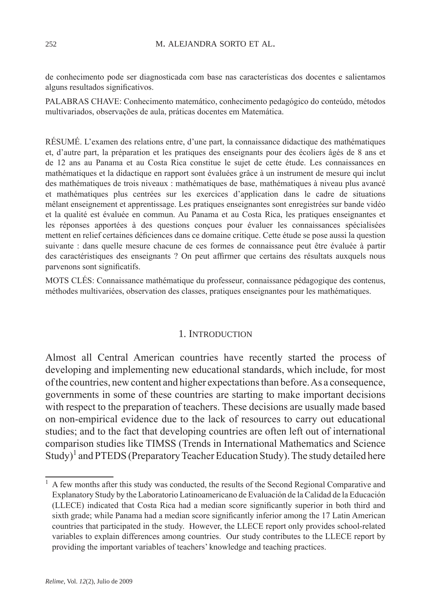de conhecimento pode ser diagnosticada com base nas características dos docentes e salientamos alguns resultados significativos.

PALABRAS CHAVE: Conhecimento matemático, conhecimento pedagógico do conteúdo, métodos multivariados, observações de aula, práticas docentes em Matemática.

RÉSUMÉ. L'examen des relations entre, d'une part, la connaissance didactique des mathématiques et, d'autre part, la préparation et les pratiques des enseignants pour des écoliers âgés de 8 ans et de 12 ans au Panama et au Costa Rica constitue le sujet de cette étude. Les connaissances en mathématiques et la didactique en rapport sont évaluées grâce à un instrument de mesure qui inclut des mathématiques de trois niveaux : mathématiques de base, mathématiques à niveau plus avancé et mathématiques plus centrées sur les exercices d'application dans le cadre de situations mêlant enseignement et apprentissage. Les pratiques enseignantes sont enregistrées sur bande vidéo et la qualité est évaluée en commun. Au Panama et au Costa Rica, les pratiques enseignantes et les réponses apportées à des questions conçues pour évaluer les connaissances spécialisées mettent en relief certaines déficiences dans ce domaine critique. Cette étude se pose aussi la question suivante : dans quelle mesure chacune de ces formes de connaissance peut être évaluée à partir des caractéristiques des enseignants ? On peut affirmer que certains des résultats auxquels nous parvenons sont significatifs.

MOTS CLÉS: Connaissance mathématique du professeur, connaissance pédagogique des contenus, méthodes multivariées, observation des classes, pratiques enseignantes pour les mathématiques.

#### 1. INTRODUCTION

Almost all Central American countries have recently started the process of developing and implementing new educational standards, which include, for most of the countries, new content and higher expectations than before. As a consequence, governments in some of these countries are starting to make important decisions with respect to the preparation of teachers. These decisions are usually made based on non-empirical evidence due to the lack of resources to carry out educational studies; and to the fact that developing countries are often left out of international comparison studies like TIMSS (Trends in International Mathematics and Science Study)<sup>1</sup> and PTEDS (Preparatory Teacher Education Study). The study detailed here

<sup>&</sup>lt;sup>1</sup> A few months after this study was conducted, the results of the Second Regional Comparative and Explanatory Study by the Laboratorio Latinoamericano de Evaluación de la Calidad de la Educación (LLECE) indicated that Costa Rica had a median score significantly superior in both third and sixth grade; while Panama had a median score significantly inferior among the 17 Latin American countries that participated in the study. However, the LLECE report only provides school-related variables to explain differences among countries. Our study contributes to the LLECE report by providing the important variables of teachers' knowledge and teaching practices.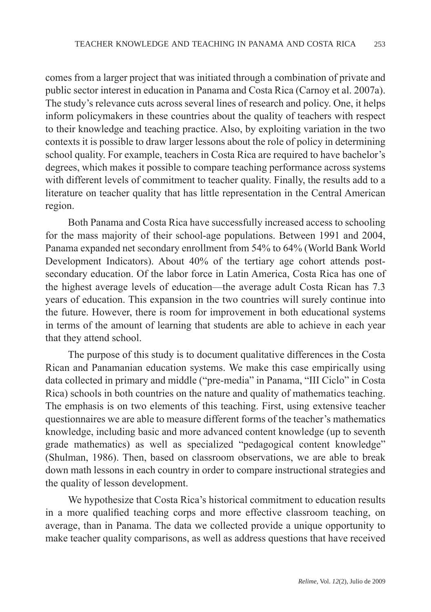comes from a larger project that was initiated through a combination of private and public sector interest in education in Panama and Costa Rica (Carnoy et al. 2007a). The study's relevance cuts across several lines of research and policy. One, it helps inform policymakers in these countries about the quality of teachers with respect to their knowledge and teaching practice. Also, by exploiting variation in the two contexts it is possible to draw larger lessons about the role of policy in determining school quality. For example, teachers in Costa Rica are required to have bachelor's degrees, which makes it possible to compare teaching performance across systems with different levels of commitment to teacher quality. Finally, the results add to a literature on teacher quality that has little representation in the Central American region.

Both Panama and Costa Rica have successfully increased access to schooling for the mass majority of their school-age populations. Between 1991 and 2004, Panama expanded net secondary enrollment from 54% to 64% (World Bank World Development Indicators). About 40% of the tertiary age cohort attends postsecondary education. Of the labor force in Latin America, Costa Rica has one of the highest average levels of education—the average adult Costa Rican has 7.3 years of education. This expansion in the two countries will surely continue into the future. However, there is room for improvement in both educational systems in terms of the amount of learning that students are able to achieve in each year that they attend school.

The purpose of this study is to document qualitative differences in the Costa Rican and Panamanian education systems. We make this case empirically using data collected in primary and middle ("pre-media" in Panama, "III Ciclo" in Costa Rica) schools in both countries on the nature and quality of mathematics teaching. The emphasis is on two elements of this teaching. First, using extensive teacher questionnaires we are able to measure different forms of the teacher's mathematics knowledge, including basic and more advanced content knowledge (up to seventh grade mathematics) as well as specialized "pedagogical content knowledge" (Shulman, 1986). Then, based on classroom observations, we are able to break down math lessons in each country in order to compare instructional strategies and the quality of lesson development.

We hypothesize that Costa Rica's historical commitment to education results in a more qualified teaching corps and more effective classroom teaching, on average, than in Panama. The data we collected provide a unique opportunity to make teacher quality comparisons, as well as address questions that have received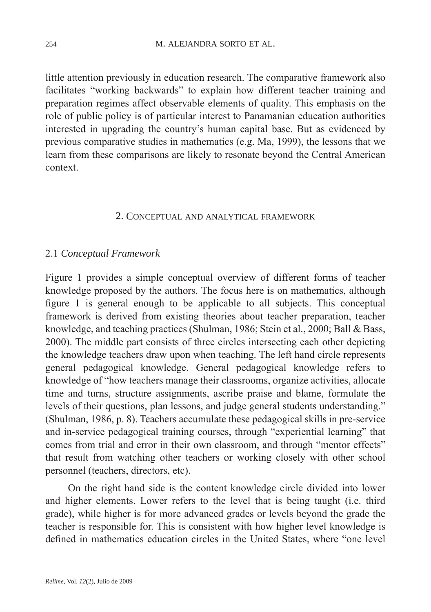little attention previously in education research. The comparative framework also facilitates "working backwards" to explain how different teacher training and preparation regimes affect observable elements of quality. This emphasis on the role of public policy is of particular interest to Panamanian education authorities interested in upgrading the country's human capital base. But as evidenced by previous comparative studies in mathematics (e.g. Ma, 1999), the lessons that we learn from these comparisons are likely to resonate beyond the Central American context.

#### 2. Conceptual and analytical framework

### 2.1 *Conceptual Framework*

Figure 1 provides a simple conceptual overview of different forms of teacher knowledge proposed by the authors. The focus here is on mathematics, although figure 1 is general enough to be applicable to all subjects. This conceptual framework is derived from existing theories about teacher preparation, teacher knowledge, and teaching practices (Shulman, 1986; Stein et al., 2000; Ball & Bass, 2000). The middle part consists of three circles intersecting each other depicting the knowledge teachers draw upon when teaching. The left hand circle represents general pedagogical knowledge. General pedagogical knowledge refers to knowledge of "how teachers manage their classrooms, organize activities, allocate time and turns, structure assignments, ascribe praise and blame, formulate the levels of their questions, plan lessons, and judge general students understanding." (Shulman, 1986, p. 8). Teachers accumulate these pedagogical skills in pre-service and in-service pedagogical training courses, through "experiential learning" that comes from trial and error in their own classroom, and through "mentor effects" that result from watching other teachers or working closely with other school personnel (teachers, directors, etc).

On the right hand side is the content knowledge circle divided into lower and higher elements. Lower refers to the level that is being taught (i.e. third grade), while higher is for more advanced grades or levels beyond the grade the teacher is responsible for. This is consistent with how higher level knowledge is defined in mathematics education circles in the United States, where "one level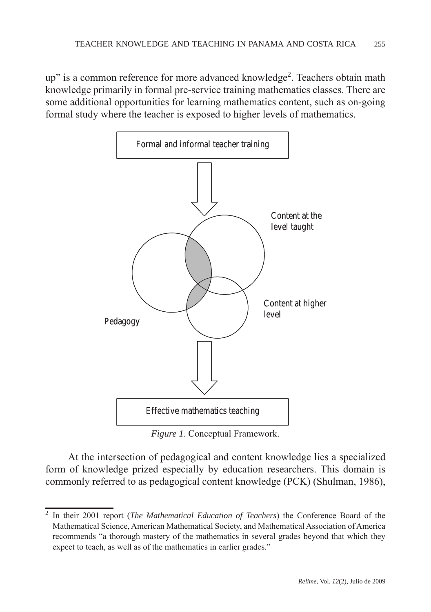up" is a common reference for more advanced knowledge<sup>2</sup>. Teachers obtain math knowledge primarily in formal pre-service training mathematics classes. There are some additional opportunities for learning mathematics content, such as on-going formal study where the teacher is exposed to higher levels of mathematics.



*Figure 1*. Conceptual Framework.

At the intersection of pedagogical and content knowledge lies a specialized form of knowledge prized especially by education researchers. This domain is commonly referred to as pedagogical content knowledge (PCK) (Shulman, 1986),

<sup>2</sup> In their 2001 report (*The Mathematical Education of Teachers*) the Conference Board of the Mathematical Science, American Mathematical Society, and Mathematical Association of America recommends "a thorough mastery of the mathematics in several grades beyond that which they expect to teach, as well as of the mathematics in earlier grades."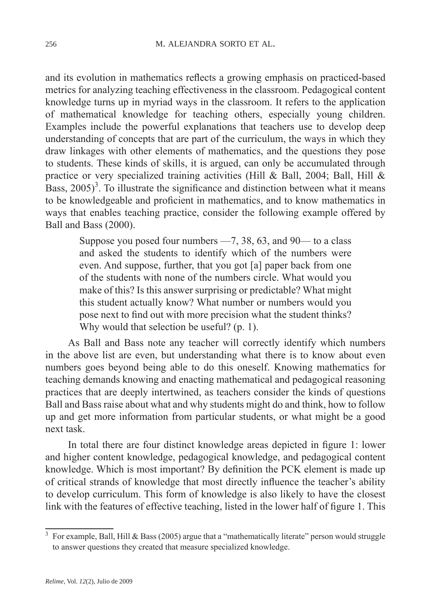and its evolution in mathematics reflects a growing emphasis on practiced-based metrics for analyzing teaching effectiveness in the classroom. Pedagogical content knowledge turns up in myriad ways in the classroom. It refers to the application of mathematical knowledge for teaching others, especially young children. Examples include the powerful explanations that teachers use to develop deep understanding of concepts that are part of the curriculum, the ways in which they draw linkages with other elements of mathematics, and the questions they pose to students. These kinds of skills, it is argued, can only be accumulated through practice or very specialized training activities (Hill & Ball, 2004; Ball, Hill & Bass,  $2005$ <sup>3</sup>. To illustrate the significance and distinction between what it means to be knowledgeable and proficient in mathematics, and to know mathematics in ways that enables teaching practice, consider the following example offered by Ball and Bass (2000).

Suppose you posed four numbers —7, 38, 63, and 90— to a class and asked the students to identify which of the numbers were even. And suppose, further, that you got [a] paper back from one of the students with none of the numbers circle. What would you make of this? Is this answer surprising or predictable? What might this student actually know? What number or numbers would you pose next to find out with more precision what the student thinks? Why would that selection be useful? (p. 1).

As Ball and Bass note any teacher will correctly identify which numbers in the above list are even, but understanding what there is to know about even numbers goes beyond being able to do this oneself. Knowing mathematics for teaching demands knowing and enacting mathematical and pedagogical reasoning practices that are deeply intertwined, as teachers consider the kinds of questions Ball and Bass raise about what and why students might do and think, how to follow up and get more information from particular students, or what might be a good next task.

In total there are four distinct knowledge areas depicted in figure 1: lower and higher content knowledge, pedagogical knowledge, and pedagogical content knowledge. Which is most important? By definition the PCK element is made up of critical strands of knowledge that most directly influence the teacher's ability to develop curriculum. This form of knowledge is also likely to have the closest link with the features of effective teaching, listed in the lower half of figure 1. This

<sup>&</sup>lt;sup>3</sup> For example, Ball, Hill & Bass (2005) argue that a "mathematically literate" person would struggle to answer questions they created that measure specialized knowledge.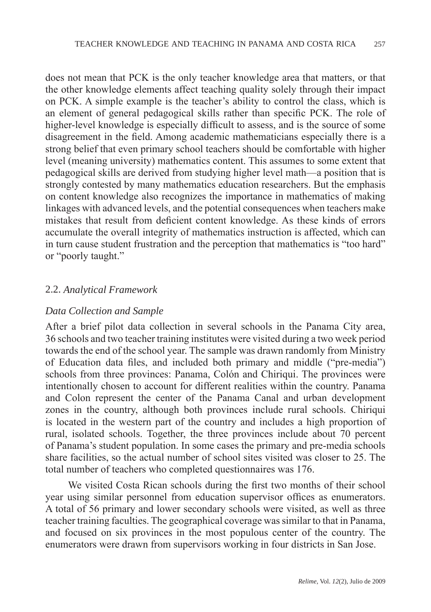does not mean that PCK is the only teacher knowledge area that matters, or that the other knowledge elements affect teaching quality solely through their impact on PCK. A simple example is the teacher's ability to control the class, which is an element of general pedagogical skills rather than specific PCK. The role of higher-level knowledge is especially difficult to assess, and is the source of some disagreement in the field. Among academic mathematicians especially there is a strong belief that even primary school teachers should be comfortable with higher level (meaning university) mathematics content. This assumes to some extent that pedagogical skills are derived from studying higher level math—a position that is strongly contested by many mathematics education researchers. But the emphasis on content knowledge also recognizes the importance in mathematics of making linkages with advanced levels, and the potential consequences when teachers make mistakes that result from deficient content knowledge. As these kinds of errors accumulate the overall integrity of mathematics instruction is affected, which can in turn cause student frustration and the perception that mathematics is "too hard" or "poorly taught."

## 2.2. *Analytical Framework*

### *Data Collection and Sample*

After a brief pilot data collection in several schools in the Panama City area, 36 schools and two teacher training institutes were visited during a two week period towards the end of the school year. The sample was drawn randomly from Ministry of Education data files, and included both primary and middle ("pre-media") schools from three provinces: Panama, Colón and Chiriqui. The provinces were intentionally chosen to account for different realities within the country. Panama and Colon represent the center of the Panama Canal and urban development zones in the country, although both provinces include rural schools. Chiriqui is located in the western part of the country and includes a high proportion of rural, isolated schools. Together, the three provinces include about 70 percent of Panama's student population. In some cases the primary and pre-media schools share facilities, so the actual number of school sites visited was closer to 25. The total number of teachers who completed questionnaires was 176.

We visited Costa Rican schools during the first two months of their school year using similar personnel from education supervisor offices as enumerators. A total of 56 primary and lower secondary schools were visited, as well as three teacher training faculties. The geographical coverage was similar to that in Panama, and focused on six provinces in the most populous center of the country. The enumerators were drawn from supervisors working in four districts in San Jose.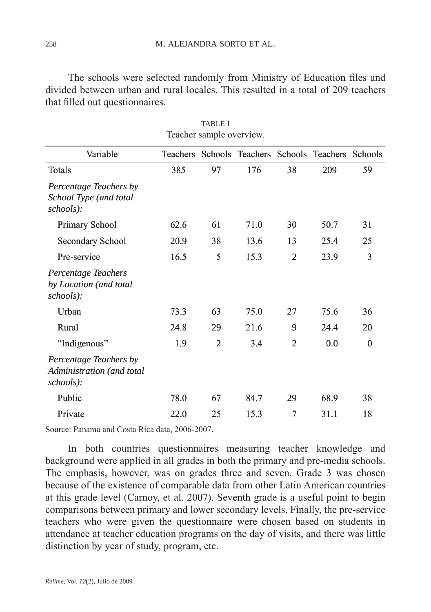The schools were selected randomly from Ministry of Education files and divided between urban and rural locales. This resulted in a total of 209 teachers that filled out questionnaires.

| reacher sample over view.                                        |      |                |      |                |                                                    |          |  |  |  |
|------------------------------------------------------------------|------|----------------|------|----------------|----------------------------------------------------|----------|--|--|--|
| Variable                                                         |      |                |      |                | Teachers Schools Teachers Schools Teachers Schools |          |  |  |  |
| Totals                                                           | 385  | 97             | 176  | 38             | 209                                                | 59       |  |  |  |
| Percentage Teachers by<br>School Type (and total<br>schools):    |      |                |      |                |                                                    |          |  |  |  |
| Primary School                                                   | 62.6 | 61             | 71.0 | 30             | 50.7                                               | 31       |  |  |  |
| Secondary School                                                 | 20.9 | 38             | 13.6 | 13             | 25.4                                               | 25       |  |  |  |
| Pre-service                                                      | 16.5 | 5              | 15.3 | $\mathfrak{2}$ | 23.9                                               | 3        |  |  |  |
| Percentage Teachers<br>by Location (and total<br>schools):       |      |                |      |                |                                                    |          |  |  |  |
| Urban                                                            | 73.3 | 63             | 75.0 | 27             | 75.6                                               | 36       |  |  |  |
| Rural                                                            | 24.8 | 29             | 21.6 | 9              | 24.4                                               | 20       |  |  |  |
| "Indigenous"                                                     | 1.9  | $\overline{2}$ | 3.4  | $\overline{2}$ | 0.0                                                | $\theta$ |  |  |  |
| Percentage Teachers by<br>Administration (and total<br>schools): |      |                |      |                |                                                    |          |  |  |  |
| Public                                                           | 78.0 | 67             | 84.7 | 29             | 68.9                                               | 38       |  |  |  |
| Private                                                          | 22.0 | 25             | 15.3 | 7              | 31.1                                               | 18       |  |  |  |

TABLE I Teacher sample overview.

Source: Panama and Costa Rica data, 2006-2007.

In both countries questionnaires measuring teacher knowledge and background were applied in all grades in both the primary and pre-media schools. The emphasis, however, was on grades three and seven. Grade 3 was chosen because of the existence of comparable data from other Latin American countries at this grade level (Carnoy, et al. 2007). Seventh grade is a useful point to begin comparisons between primary and lower secondary levels. Finally, the pre-service teachers who were given the questionnaire were chosen based on students in attendance at teacher education programs on the day of visits, and there was little distinction by year of study, program, etc.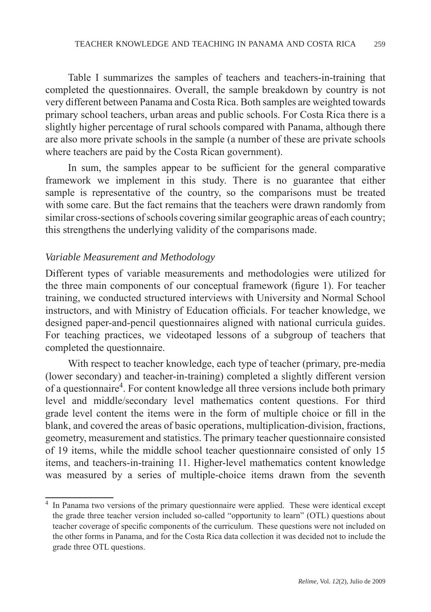Table I summarizes the samples of teachers and teachers-in-training that completed the questionnaires. Overall, the sample breakdown by country is not very different between Panama and Costa Rica. Both samples are weighted towards primary school teachers, urban areas and public schools. For Costa Rica there is a slightly higher percentage of rural schools compared with Panama, although there are also more private schools in the sample (a number of these are private schools where teachers are paid by the Costa Rican government).

In sum, the samples appear to be sufficient for the general comparative framework we implement in this study. There is no guarantee that either sample is representative of the country, so the comparisons must be treated with some care. But the fact remains that the teachers were drawn randomly from similar cross-sections of schools covering similar geographic areas of each country; this strengthens the underlying validity of the comparisons made.

## *Variable Measurement and Methodology*

Different types of variable measurements and methodologies were utilized for the three main components of our conceptual framework (figure 1). For teacher training, we conducted structured interviews with University and Normal School instructors, and with Ministry of Education officials. For teacher knowledge, we designed paper-and-pencil questionnaires aligned with national curricula guides. For teaching practices, we videotaped lessons of a subgroup of teachers that completed the questionnaire.

With respect to teacher knowledge, each type of teacher (primary, pre-media (lower secondary) and teacher-in-training) completed a slightly different version of a questionnaire<sup>4</sup>. For content knowledge all three versions include both primary level and middle/secondary level mathematics content questions. For third grade level content the items were in the form of multiple choice or fill in the blank, and covered the areas of basic operations, multiplication-division, fractions, geometry, measurement and statistics. The primary teacher questionnaire consisted of 19 items, while the middle school teacher questionnaire consisted of only 15 items, and teachers-in-training 11. Higher-level mathematics content knowledge was measured by a series of multiple-choice items drawn from the seventh

<sup>&</sup>lt;sup>4</sup> In Panama two versions of the primary questionnaire were applied. These were identical except the grade three teacher version included so-called "opportunity to learn" (OTL) questions about teacher coverage of specific components of the curriculum. These questions were not included on the other forms in Panama, and for the Costa Rica data collection it was decided not to include the grade three OTL questions.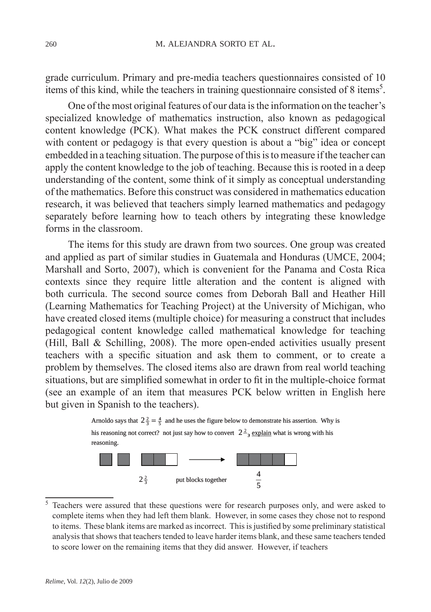grade curriculum. Primary and pre-media teachers questionnaires consisted of 10 items of this kind, while the teachers in training questionnaire consisted of 8 items<sup>5</sup>.

One of the most original features of our data is the information on the teacher's specialized knowledge of mathematics instruction, also known as pedagogical content knowledge (PCK). What makes the PCK construct different compared with content or pedagogy is that every question is about a "big" idea or concept embedded in a teaching situation. The purpose of this is to measure if the teacher can apply the content knowledge to the job of teaching. Because this is rooted in a deep understanding of the content, some think of it simply as conceptual understanding of the mathematics. Before this construct was considered in mathematics education research, it was believed that teachers simply learned mathematics and pedagogy separately before learning how to teach others by integrating these knowledge forms in the classroom.

The items for this study are drawn from two sources. One group was created and applied as part of similar studies in Guatemala and Honduras (UMCE, 2004; Marshall and Sorto, 2007), which is convenient for the Panama and Costa Rica contexts since they require little alteration and the content is aligned with both curricula. The second source comes from Deborah Ball and Heather Hill (Learning Mathematics for Teaching Project) at the University of Michigan, who have created closed items (multiple choice) for measuring a construct that includes pedagogical content knowledge called mathematical knowledge for teaching (Hill, Ball & Schilling, 2008). The more open-ended activities usually present teachers with a specific situation and ask them to comment, or to create a problem by themselves. The closed items also are drawn from real world teaching situations, but are simplified somewhat in order to fit in the multiple-choice format (see an example of an item that measures PCK below written in English here but given in Spanish to the teachers).





 $5$  Teachers were assured that these questions were for research purposes only, and were asked to complete items when they had left them blank. However, in some cases they chose not to respond to items. These blank items are marked as incorrect. This is justified by some preliminary statistical analysis that shows that teachers tended to leave harder items blank, and these same teachers tended to score lower on the remaining items that they did answer. However, if teachers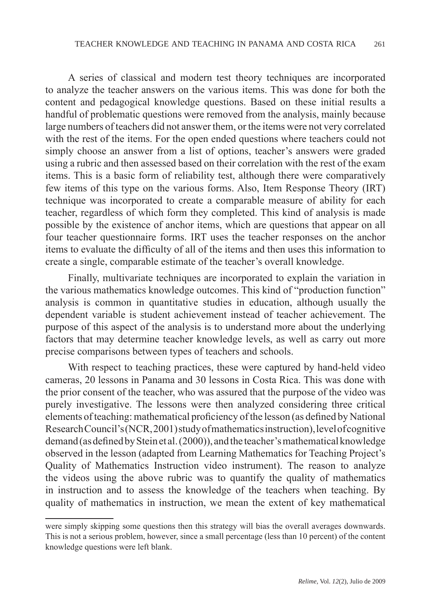A series of classical and modern test theory techniques are incorporated to analyze the teacher answers on the various items. This was done for both the content and pedagogical knowledge questions. Based on these initial results a handful of problematic questions were removed from the analysis, mainly because large numbers of teachers did not answer them, or the items were not very correlated with the rest of the items. For the open ended questions where teachers could not simply choose an answer from a list of options, teacher's answers were graded using a rubric and then assessed based on their correlation with the rest of the exam items. This is a basic form of reliability test, although there were comparatively few items of this type on the various forms. Also, Item Response Theory (IRT) technique was incorporated to create a comparable measure of ability for each teacher, regardless of which form they completed. This kind of analysis is made possible by the existence of anchor items, which are questions that appear on all four teacher questionnaire forms. IRT uses the teacher responses on the anchor items to evaluate the difficulty of all of the items and then uses this information to create a single, comparable estimate of the teacher's overall knowledge.

Finally, multivariate techniques are incorporated to explain the variation in the various mathematics knowledge outcomes. This kind of "production function" analysis is common in quantitative studies in education, although usually the dependent variable is student achievement instead of teacher achievement. The purpose of this aspect of the analysis is to understand more about the underlying factors that may determine teacher knowledge levels, as well as carry out more precise comparisons between types of teachers and schools.

With respect to teaching practices, these were captured by hand-held video cameras, 20 lessons in Panama and 30 lessons in Costa Rica. This was done with the prior consent of the teacher, who was assured that the purpose of the video was purely investigative. The lessons were then analyzed considering three critical elements of teaching: mathematical proficiency of the lesson (as defined by National Research Council's (NCR, 2001) study of mathematics instruction), level of cognitive demand (as defined by Stein et al. (2000)), and the teacher's mathematical knowledge observed in the lesson (adapted from Learning Mathematics for Teaching Project's Quality of Mathematics Instruction video instrument). The reason to analyze the videos using the above rubric was to quantify the quality of mathematics in instruction and to assess the knowledge of the teachers when teaching. By quality of mathematics in instruction, we mean the extent of key mathematical

were simply skipping some questions then this strategy will bias the overall averages downwards. This is not a serious problem, however, since a small percentage (less than 10 percent) of the content knowledge questions were left blank.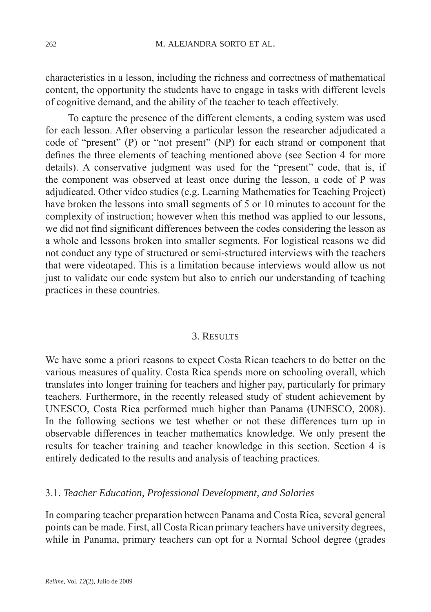characteristics in a lesson, including the richness and correctness of mathematical content, the opportunity the students have to engage in tasks with different levels of cognitive demand, and the ability of the teacher to teach effectively.

To capture the presence of the different elements, a coding system was used for each lesson. After observing a particular lesson the researcher adjudicated a code of "present" (P) or "not present" (NP) for each strand or component that defines the three elements of teaching mentioned above (see Section 4 for more details). A conservative judgment was used for the "present" code, that is, if the component was observed at least once during the lesson, a code of P was adjudicated. Other video studies (e.g. Learning Mathematics for Teaching Project) have broken the lessons into small segments of 5 or 10 minutes to account for the complexity of instruction; however when this method was applied to our lessons, we did not find significant differences between the codes considering the lesson as a whole and lessons broken into smaller segments. For logistical reasons we did not conduct any type of structured or semi-structured interviews with the teachers that were videotaped. This is a limitation because interviews would allow us not just to validate our code system but also to enrich our understanding of teaching practices in these countries.

#### 3. Results

We have some a priori reasons to expect Costa Rican teachers to do better on the various measures of quality. Costa Rica spends more on schooling overall, which translates into longer training for teachers and higher pay, particularly for primary teachers. Furthermore, in the recently released study of student achievement by UNESCO, Costa Rica performed much higher than Panama (UNESCO, 2008). In the following sections we test whether or not these differences turn up in observable differences in teacher mathematics knowledge. We only present the results for teacher training and teacher knowledge in this section. Section 4 is entirely dedicated to the results and analysis of teaching practices.

## 3.1. *Teacher Education, Professional Development, and Salaries*

In comparing teacher preparation between Panama and Costa Rica, several general points can be made. First, all Costa Rican primary teachers have university degrees, while in Panama, primary teachers can opt for a Normal School degree (grades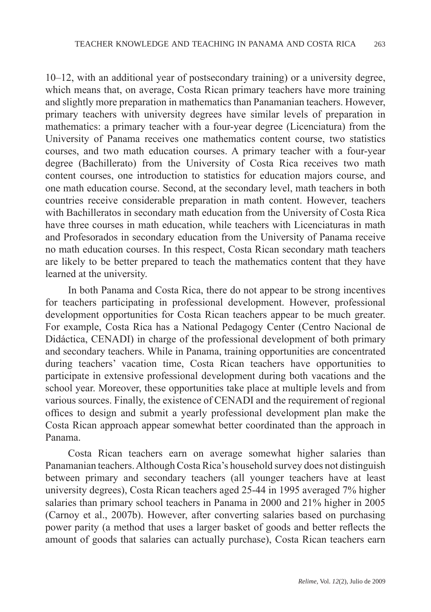10–12, with an additional year of postsecondary training) or a university degree, which means that, on average, Costa Rican primary teachers have more training and slightly more preparation in mathematics than Panamanian teachers. However, primary teachers with university degrees have similar levels of preparation in mathematics: a primary teacher with a four-year degree (Licenciatura) from the University of Panama receives one mathematics content course, two statistics courses, and two math education courses. A primary teacher with a four-year degree (Bachillerato) from the University of Costa Rica receives two math content courses, one introduction to statistics for education majors course, and one math education course. Second, at the secondary level, math teachers in both countries receive considerable preparation in math content. However, teachers with Bachilleratos in secondary math education from the University of Costa Rica have three courses in math education, while teachers with Licenciaturas in math and Profesorados in secondary education from the University of Panama receive no math education courses. In this respect, Costa Rican secondary math teachers are likely to be better prepared to teach the mathematics content that they have learned at the university.

In both Panama and Costa Rica, there do not appear to be strong incentives for teachers participating in professional development. However, professional development opportunities for Costa Rican teachers appear to be much greater. For example, Costa Rica has a National Pedagogy Center (Centro Nacional de Didáctica, CENADI) in charge of the professional development of both primary and secondary teachers. While in Panama, training opportunities are concentrated during teachers' vacation time, Costa Rican teachers have opportunities to participate in extensive professional development during both vacations and the school year. Moreover, these opportunities take place at multiple levels and from various sources. Finally, the existence of CENADI and the requirement of regional offices to design and submit a yearly professional development plan make the Costa Rican approach appear somewhat better coordinated than the approach in Panama.

Costa Rican teachers earn on average somewhat higher salaries than Panamanian teachers. Although Costa Rica's household survey does not distinguish between primary and secondary teachers (all younger teachers have at least university degrees), Costa Rican teachers aged 25-44 in 1995 averaged 7% higher salaries than primary school teachers in Panama in 2000 and 21% higher in 2005 (Carnoy et al., 2007b). However, after converting salaries based on purchasing power parity (a method that uses a larger basket of goods and better reflects the amount of goods that salaries can actually purchase), Costa Rican teachers earn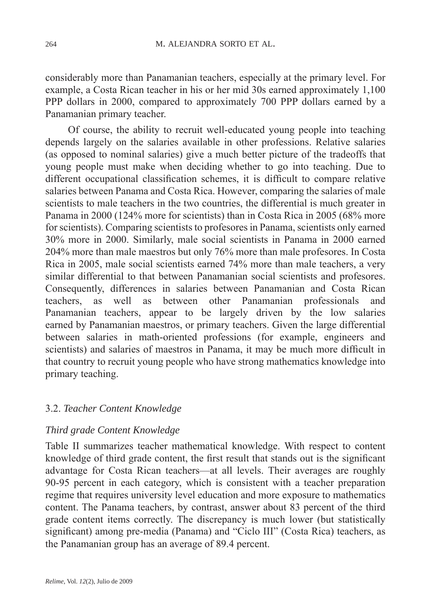considerably more than Panamanian teachers, especially at the primary level. For example, a Costa Rican teacher in his or her mid 30s earned approximately 1,100 PPP dollars in 2000, compared to approximately 700 PPP dollars earned by a Panamanian primary teacher.

Of course, the ability to recruit well-educated young people into teaching depends largely on the salaries available in other professions. Relative salaries (as opposed to nominal salaries) give a much better picture of the tradeoffs that young people must make when deciding whether to go into teaching. Due to different occupational classification schemes, it is difficult to compare relative salaries between Panama and Costa Rica. However, comparing the salaries of male scientists to male teachers in the two countries, the differential is much greater in Panama in 2000 (124% more for scientists) than in Costa Rica in 2005 (68% more for scientists). Comparing scientists to profesores in Panama, scientists only earned 30% more in 2000. Similarly, male social scientists in Panama in 2000 earned 204% more than male maestros but only 76% more than male profesores. In Costa Rica in 2005, male social scientists earned 74% more than male teachers, a very similar differential to that between Panamanian social scientists and profesores. Consequently, differences in salaries between Panamanian and Costa Rican teachers, as well as between other Panamanian professionals and Panamanian teachers, appear to be largely driven by the low salaries earned by Panamanian maestros, or primary teachers. Given the large differential between salaries in math-oriented professions (for example, engineers and scientists) and salaries of maestros in Panama, it may be much more difficult in that country to recruit young people who have strong mathematics knowledge into primary teaching.

## 3.2. *Teacher Content Knowledge*

## *Third grade Content Knowledge*

Table II summarizes teacher mathematical knowledge. With respect to content knowledge of third grade content, the first result that stands out is the significant advantage for Costa Rican teachers—at all levels. Their averages are roughly 90-95 percent in each category, which is consistent with a teacher preparation regime that requires university level education and more exposure to mathematics content. The Panama teachers, by contrast, answer about 83 percent of the third grade content items correctly. The discrepancy is much lower (but statistically significant) among pre-media (Panama) and "Ciclo III" (Costa Rica) teachers, as the Panamanian group has an average of 89.4 percent.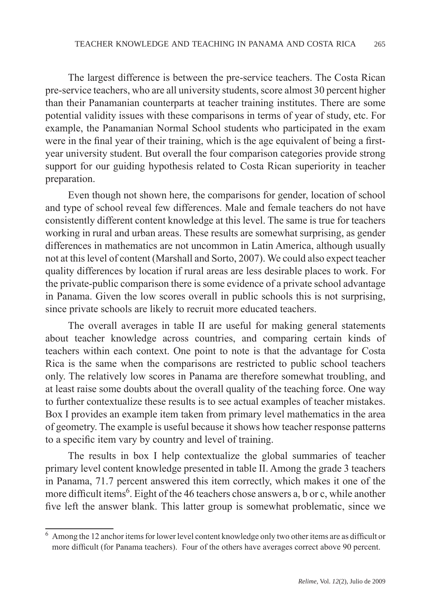The largest difference is between the pre-service teachers. The Costa Rican pre-service teachers, who are all university students, score almost 30 percent higher than their Panamanian counterparts at teacher training institutes. There are some potential validity issues with these comparisons in terms of year of study, etc. For example, the Panamanian Normal School students who participated in the exam were in the final year of their training, which is the age equivalent of being a firstyear university student. But overall the four comparison categories provide strong support for our guiding hypothesis related to Costa Rican superiority in teacher preparation.

Even though not shown here, the comparisons for gender, location of school and type of school reveal few differences. Male and female teachers do not have consistently different content knowledge at this level. The same is true for teachers working in rural and urban areas. These results are somewhat surprising, as gender differences in mathematics are not uncommon in Latin America, although usually not at this level of content (Marshall and Sorto, 2007). We could also expect teacher quality differences by location if rural areas are less desirable places to work. For the private-public comparison there is some evidence of a private school advantage in Panama. Given the low scores overall in public schools this is not surprising, since private schools are likely to recruit more educated teachers.

The overall averages in table II are useful for making general statements about teacher knowledge across countries, and comparing certain kinds of teachers within each context. One point to note is that the advantage for Costa Rica is the same when the comparisons are restricted to public school teachers only. The relatively low scores in Panama are therefore somewhat troubling, and at least raise some doubts about the overall quality of the teaching force. One way to further contextualize these results is to see actual examples of teacher mistakes. Box I provides an example item taken from primary level mathematics in the area of geometry. The example is useful because it shows how teacher response patterns to a specific item vary by country and level of training.

The results in box I help contextualize the global summaries of teacher primary level content knowledge presented in table II. Among the grade 3 teachers in Panama, 71.7 percent answered this item correctly, which makes it one of the more difficult items<sup>6</sup>. Eight of the 46 teachers chose answers a, b or c, while another five left the answer blank. This latter group is somewhat problematic, since we

Among the 12 anchor items for lower level content knowledge only two other items are as difficult or more difficult (for Panama teachers). Four of the others have averages correct above 90 percent.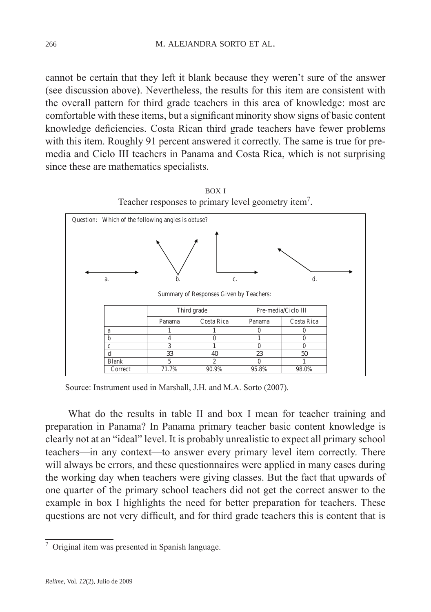cannot be certain that they left it blank because they weren't sure of the answer (see discussion above). Nevertheless, the results for this item are consistent with the overall pattern for third grade teachers in this area of knowledge: most are comfortable with these items, but a significant minority show signs of basic content knowledge deficiencies. Costa Rican third grade teachers have fewer problems with this item. Roughly 91 percent answered it correctly. The same is true for premedia and Ciclo III teachers in Panama and Costa Rica, which is not surprising since these are mathematics specialists.



box i Teacher responses to primary level geometry item<sup>7</sup>.

What do the results in table II and box I mean for teacher training and preparation in Panama? In Panama primary teacher basic content knowledge is clearly not at an "ideal" level. It is probably unrealistic to expect all primary school teachers—in any context—to answer every primary level item correctly. There will always be errors, and these questionnaires were applied in many cases during the working day when teachers were giving classes. But the fact that upwards of one quarter of the primary school teachers did not get the correct answer to the example in box I highlights the need for better preparation for teachers. These questions are not very difficult, and for third grade teachers this is content that is

Source: Instrument used in Marshall, J.H. and M.A. Sorto (2007).

 $\frac{7}{7}$  Original item was presented in Spanish language.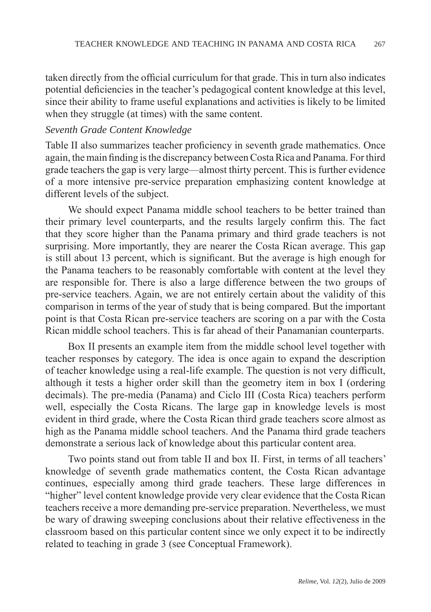taken directly from the official curriculum for that grade. This in turn also indicates potential deficiencies in the teacher's pedagogical content knowledge at this level, since their ability to frame useful explanations and activities is likely to be limited when they struggle (at times) with the same content.

### *Seventh Grade Content Knowledge*

Table II also summarizes teacher proficiency in seventh grade mathematics. Once again, the main finding is the discrepancy between Costa Rica and Panama. For third grade teachers the gap is very large—almost thirty percent. This is further evidence of a more intensive pre-service preparation emphasizing content knowledge at different levels of the subject.

We should expect Panama middle school teachers to be better trained than their primary level counterparts, and the results largely confirm this. The fact that they score higher than the Panama primary and third grade teachers is not surprising. More importantly, they are nearer the Costa Rican average. This gap is still about 13 percent, which is significant. But the average is high enough for the Panama teachers to be reasonably comfortable with content at the level they are responsible for. There is also a large difference between the two groups of pre-service teachers. Again, we are not entirely certain about the validity of this comparison in terms of the year of study that is being compared. But the important point is that Costa Rican pre-service teachers are scoring on a par with the Costa Rican middle school teachers. This is far ahead of their Panamanian counterparts.

Box II presents an example item from the middle school level together with teacher responses by category. The idea is once again to expand the description of teacher knowledge using a real-life example. The question is not very difficult, although it tests a higher order skill than the geometry item in box I (ordering decimals). The pre-media (Panama) and Ciclo III (Costa Rica) teachers perform well, especially the Costa Ricans. The large gap in knowledge levels is most evident in third grade, where the Costa Rican third grade teachers score almost as high as the Panama middle school teachers. And the Panama third grade teachers demonstrate a serious lack of knowledge about this particular content area.

Two points stand out from table II and box II. First, in terms of all teachers' knowledge of seventh grade mathematics content, the Costa Rican advantage continues, especially among third grade teachers. These large differences in "higher" level content knowledge provide very clear evidence that the Costa Rican teachers receive a more demanding pre-service preparation. Nevertheless, we must be wary of drawing sweeping conclusions about their relative effectiveness in the classroom based on this particular content since we only expect it to be indirectly related to teaching in grade 3 (see Conceptual Framework).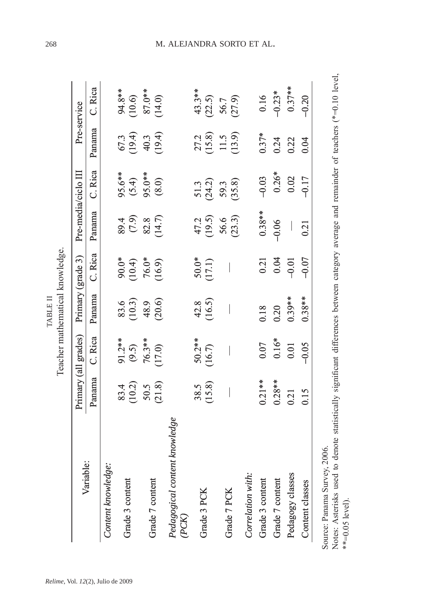|                                        |                                          | Primary (all grades)                 | Primary (grade 3)                  |                                        | Pre-media/ciclo III               |                                            |                                  | Pre-service                                |
|----------------------------------------|------------------------------------------|--------------------------------------|------------------------------------|----------------------------------------|-----------------------------------|--------------------------------------------|----------------------------------|--------------------------------------------|
| Variable:                              | Panama                                   | C. Rica                              | Panama                             | C. Rica                                | Panama                            | C. Rica                                    | Panama                           | C. Rica                                    |
| Content knowledge.                     |                                          |                                      |                                    |                                        |                                   |                                            |                                  |                                            |
| ontent<br>Grade 3 cor                  |                                          |                                      |                                    |                                        |                                   |                                            |                                  |                                            |
| Grade 7 content                        | $83.4$<br>$(10.2)$<br>$50.5$<br>$(21.8)$ | 91.2**<br>(9.5)<br>76.3**<br>70.7.0) | 83.6<br>(10.3)<br>(20.6)<br>(20.6) | $(10.4)$<br>$76.9$<br>$76.9$<br>$76.9$ | 89.4<br>0.9<br>80.47<br>80.47     | $95.6**$<br>$(5.4)$<br>$95.0**$<br>$(8.0)$ | 67.3<br>(19.4)<br>67.49.         | 94.8**<br>(10.6)<br>87.0**<br>(14.0)       |
| Pedagogical content knowledge<br>(PCK) |                                          |                                      |                                    |                                        |                                   |                                            |                                  |                                            |
| B<br>Grade 3 P                         | $38.5$<br>(15.8)                         | $50.2**$<br>(16.7)                   | $42.8$<br>(16.5)                   | $50.0*$<br>(17.1)                      |                                   | $51.3$<br>(24.2)                           |                                  |                                            |
| Grade 7 PCK                            |                                          |                                      |                                    |                                        | $47.2$<br>(19.5)<br>56.6<br>53.3) | 59.3<br>(35.8)                             | 27.2<br>(15.8)<br>11.5<br>(13.9) | $43.3**$<br>$(22.5)$<br>$56.7$<br>$(27.9)$ |
| Correlation with:                      |                                          |                                      |                                    |                                        |                                   |                                            |                                  |                                            |
|                                        | $0.21***$                                | 0.07                                 | 0.18                               |                                        | $0.38***$                         | $-0.03$                                    | $0.37*$                          |                                            |
| Grade 3 content<br>Grade 7 content     | $0.28***$                                | $0.16*$                              | 0.20                               | $0.21$<br>$0.04$                       | $-0.06$                           | $0.26*$                                    | 0.24                             | $0.16 - 0.23*$                             |
| classes<br>Pedagogy                    | 0.21                                     | 0.01                                 | $0.39***$                          | $-0.01$                                |                                   | 0.02                                       | 0.22                             | $0.37***$                                  |
| asses<br>Content cl                    | 0.15                                     | $-0.05$                              | $0.38**$                           | $-0.07$                                | 0.21                              | $-0.17$                                    | 0.04                             | $-0.20$                                    |

Source: Panama Survey, 2006.

Source: Panama Survey, 2006.<br>Notes: Asterisks used to denote statistically significant differences between category average and remainder of teachers (\*=0.10 level,<br>\*\*=0.05 level). Notes: Asterisks used to denote statistically significant differences between category average and remainder of teachers (\*=0.10 level, \*\*=0.05 level).

# 268 m. alejandra sorto et al.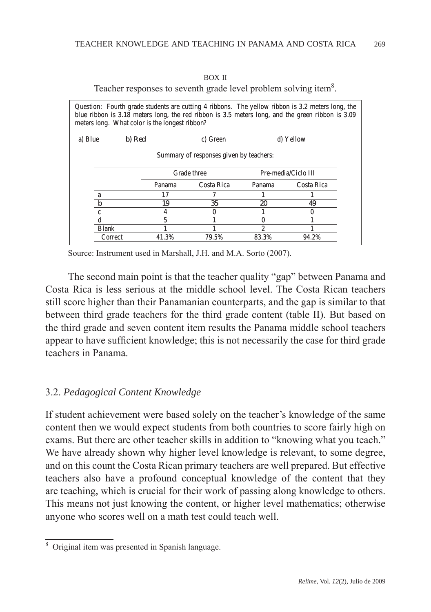| I |  |
|---|--|
|---|--|

Teacher responses to seventh grade level problem solving item<sup>8</sup>.

|                                         | Question: Fourth grade students are cutting 4 ribbons. The yellow ribbon is 3.2 meters long, the<br>blue ribbon is 3.18 meters long, the red ribbon is 3.5 meters long, and the green ribbon is 3.09<br>meters long. What color is the longest ribbon? |       |          |       |           |  |  |  |  |
|-----------------------------------------|--------------------------------------------------------------------------------------------------------------------------------------------------------------------------------------------------------------------------------------------------------|-------|----------|-------|-----------|--|--|--|--|
| a) Blue                                 | b) Red                                                                                                                                                                                                                                                 |       | c) Green |       | d) Yellow |  |  |  |  |
| Summary of responses given by teachers: |                                                                                                                                                                                                                                                        |       |          |       |           |  |  |  |  |
|                                         | Grade three<br>Pre-media/Ciclo III                                                                                                                                                                                                                     |       |          |       |           |  |  |  |  |
|                                         | Costa Rica<br>Costa Rica<br>Panama<br>Panama                                                                                                                                                                                                           |       |          |       |           |  |  |  |  |
|                                         | a                                                                                                                                                                                                                                                      | 17    |          |       |           |  |  |  |  |
|                                         | b                                                                                                                                                                                                                                                      | 19    | 35       | 20    | 49        |  |  |  |  |
|                                         | c                                                                                                                                                                                                                                                      | 4     |          |       | Ω         |  |  |  |  |
|                                         | 5<br>d                                                                                                                                                                                                                                                 |       |          |       |           |  |  |  |  |
|                                         | <b>Blank</b>                                                                                                                                                                                                                                           |       |          | 2     |           |  |  |  |  |
|                                         | Correct                                                                                                                                                                                                                                                | 41.3% | 79.5%    | 83.3% | 94.2%     |  |  |  |  |

Source: Instrument used in Marshall, J.H. and M.A. Sorto (2007).

The second main point is that the teacher quality "gap" between Panama and Costa Rica is less serious at the middle school level. The Costa Rican teachers still score higher than their Panamanian counterparts, and the gap is similar to that between third grade teachers for the third grade content (table II). But based on the third grade and seven content item results the Panama middle school teachers appear to have sufficient knowledge; this is not necessarily the case for third grade teachers in Panama.

## 3.2. *Pedagogical Content Knowledge*

If student achievement were based solely on the teacher's knowledge of the same content then we would expect students from both countries to score fairly high on exams. But there are other teacher skills in addition to "knowing what you teach." We have already shown why higher level knowledge is relevant, to some degree, and on this count the Costa Rican primary teachers are well prepared. But effective teachers also have a profound conceptual knowledge of the content that they are teaching, which is crucial for their work of passing along knowledge to others. This means not just knowing the content, or higher level mathematics; otherwise anyone who scores well on a math test could teach well.

Original item was presented in Spanish language.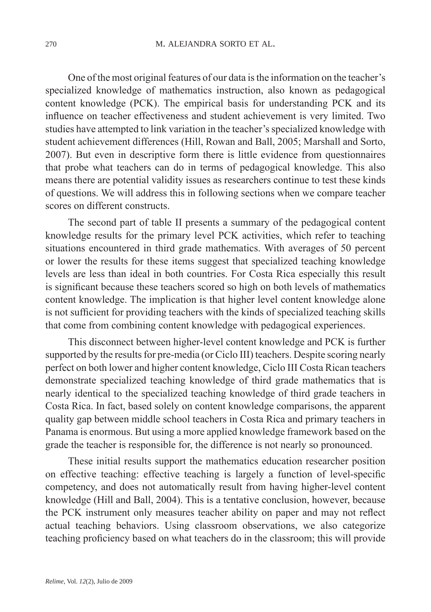One of the most original features of our data is the information on the teacher's specialized knowledge of mathematics instruction, also known as pedagogical content knowledge (PCK). The empirical basis for understanding PCK and its influence on teacher effectiveness and student achievement is very limited. Two studies have attempted to link variation in the teacher's specialized knowledge with student achievement differences (Hill, Rowan and Ball, 2005; Marshall and Sorto, 2007). But even in descriptive form there is little evidence from questionnaires that probe what teachers can do in terms of pedagogical knowledge. This also means there are potential validity issues as researchers continue to test these kinds of questions. We will address this in following sections when we compare teacher scores on different constructs.

The second part of table II presents a summary of the pedagogical content knowledge results for the primary level PCK activities, which refer to teaching situations encountered in third grade mathematics. With averages of 50 percent or lower the results for these items suggest that specialized teaching knowledge levels are less than ideal in both countries. For Costa Rica especially this result is significant because these teachers scored so high on both levels of mathematics content knowledge. The implication is that higher level content knowledge alone is not sufficient for providing teachers with the kinds of specialized teaching skills that come from combining content knowledge with pedagogical experiences.

This disconnect between higher-level content knowledge and PCK is further supported by the results for pre-media (or Ciclo III) teachers. Despite scoring nearly perfect on both lower and higher content knowledge, Ciclo III Costa Rican teachers demonstrate specialized teaching knowledge of third grade mathematics that is nearly identical to the specialized teaching knowledge of third grade teachers in Costa Rica. In fact, based solely on content knowledge comparisons, the apparent quality gap between middle school teachers in Costa Rica and primary teachers in Panama is enormous. But using a more applied knowledge framework based on the grade the teacher is responsible for, the difference is not nearly so pronounced.

These initial results support the mathematics education researcher position on effective teaching: effective teaching is largely a function of level-specific competency, and does not automatically result from having higher-level content knowledge (Hill and Ball, 2004). This is a tentative conclusion, however, because the PCK instrument only measures teacher ability on paper and may not reflect actual teaching behaviors. Using classroom observations, we also categorize teaching proficiency based on what teachers do in the classroom; this will provide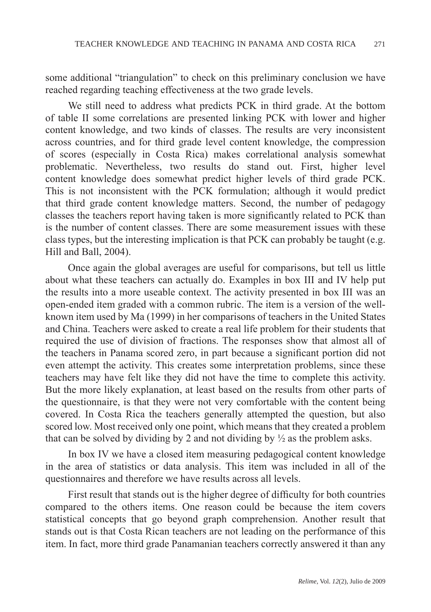some additional "triangulation" to check on this preliminary conclusion we have reached regarding teaching effectiveness at the two grade levels.

We still need to address what predicts PCK in third grade. At the bottom of table II some correlations are presented linking PCK with lower and higher content knowledge, and two kinds of classes. The results are very inconsistent across countries, and for third grade level content knowledge, the compression of scores (especially in Costa Rica) makes correlational analysis somewhat problematic. Nevertheless, two results do stand out. First, higher level content knowledge does somewhat predict higher levels of third grade PCK. This is not inconsistent with the PCK formulation; although it would predict that third grade content knowledge matters. Second, the number of pedagogy classes the teachers report having taken is more significantly related to PCK than is the number of content classes. There are some measurement issues with these class types, but the interesting implication is that PCK can probably be taught (e.g. Hill and Ball, 2004).

Once again the global averages are useful for comparisons, but tell us little about what these teachers can actually do. Examples in box III and IV help put the results into a more useable context. The activity presented in box III was an open-ended item graded with a common rubric. The item is a version of the wellknown item used by Ma (1999) in her comparisons of teachers in the United States and China. Teachers were asked to create a real life problem for their students that required the use of division of fractions. The responses show that almost all of the teachers in Panama scored zero, in part because a significant portion did not even attempt the activity. This creates some interpretation problems, since these teachers may have felt like they did not have the time to complete this activity. But the more likely explanation, at least based on the results from other parts of the questionnaire, is that they were not very comfortable with the content being covered. In Costa Rica the teachers generally attempted the question, but also scored low. Most received only one point, which means that they created a problem that can be solved by dividing by 2 and not dividing by  $\frac{1}{2}$  as the problem asks.

In box IV we have a closed item measuring pedagogical content knowledge in the area of statistics or data analysis. This item was included in all of the questionnaires and therefore we have results across all levels.

First result that stands out is the higher degree of difficulty for both countries compared to the others items. One reason could be because the item covers statistical concepts that go beyond graph comprehension. Another result that stands out is that Costa Rican teachers are not leading on the performance of this item. In fact, more third grade Panamanian teachers correctly answered it than any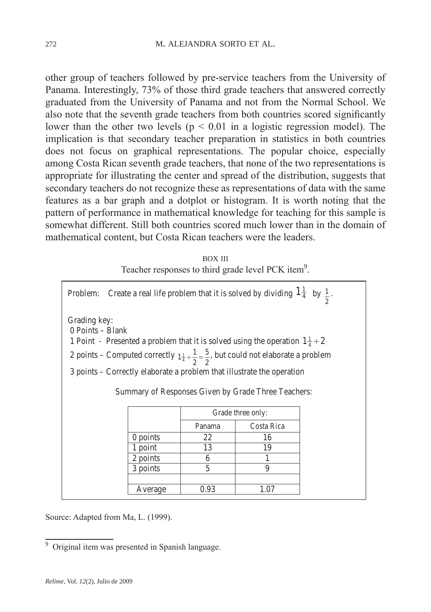other group of teachers followed by pre-service teachers from the University of Panama. Interestingly, 73% of those third grade teachers that answered correctly graduated from the University of Panama and not from the Normal School. We also note that the seventh grade teachers from both countries scored significantly lower than the other two levels ( $p < 0.01$  in a logistic regression model). The implication is that secondary teacher preparation in statistics in both countries does not focus on graphical representations. The popular choice, especially among Costa Rican seventh grade teachers, that none of the two representations is appropriate for illustrating the center and spread of the distribution, suggests that secondary teachers do not recognize these as representations of data with the same features as a bar graph and a dotplot or histogram. It is worth noting that the pattern of performance in mathematical knowledge for teaching for this sample is somewhat different. Still both countries scored much lower than in the domain of mathematical content, but Costa Rican teachers were the leaders.

| <b>BOX III</b>                                                 |
|----------------------------------------------------------------|
| Teacher responses to third grade level PCK item <sup>9</sup> . |

| Create a real life problem that it is solved by dividing $1\frac{1}{4}$ by $\frac{1}{2}$ .<br>Problem: |                        |                |                                                                                                                                                                                                                                                                                                                                               |  |  |  |  |  |  |
|--------------------------------------------------------------------------------------------------------|------------------------|----------------|-----------------------------------------------------------------------------------------------------------------------------------------------------------------------------------------------------------------------------------------------------------------------------------------------------------------------------------------------|--|--|--|--|--|--|
| Grading key:<br>$0$ Points – Blank                                                                     |                        |                | 1 Point - Presented a problem that it is solved using the operation $1\frac{1}{4} \div 2$<br>2 points – Computed correctly $1\frac{1}{4} \div \frac{1}{2} = \frac{5}{2}$ , but could not elaborate a problem<br>3 points – Correctly elaborate a problem that illustrate the operation<br>Summary of Responses Given by Grade Three Teachers: |  |  |  |  |  |  |
|                                                                                                        |                        |                | Grade three only:                                                                                                                                                                                                                                                                                                                             |  |  |  |  |  |  |
|                                                                                                        |                        | Panama         | Costa Rica                                                                                                                                                                                                                                                                                                                                    |  |  |  |  |  |  |
|                                                                                                        | $0$ points<br>22<br>16 |                |                                                                                                                                                                                                                                                                                                                                               |  |  |  |  |  |  |
|                                                                                                        | 1 point                | 13             | 19                                                                                                                                                                                                                                                                                                                                            |  |  |  |  |  |  |
|                                                                                                        | 2 points               | 6              |                                                                                                                                                                                                                                                                                                                                               |  |  |  |  |  |  |
|                                                                                                        | 3 points               | $\overline{5}$ | 9                                                                                                                                                                                                                                                                                                                                             |  |  |  |  |  |  |
|                                                                                                        |                        |                |                                                                                                                                                                                                                                                                                                                                               |  |  |  |  |  |  |
|                                                                                                        | Average                | 0.93           | 1.07                                                                                                                                                                                                                                                                                                                                          |  |  |  |  |  |  |

Source: Adapted from Ma, L. (1999).

<sup>&</sup>lt;sup>9</sup> Original item was presented in Spanish language.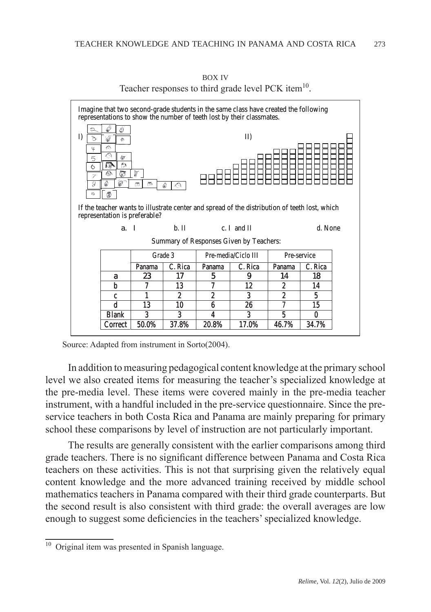

box iv Teacher responses to third grade level PCK item<sup>10</sup>.

In addition to measuring pedagogical content knowledge at the primary school level we also created items for measuring the teacher's specialized knowledge at the pre-media level. These items were covered mainly in the pre-media teacher instrument, with a handful included in the pre-service questionnaire. Since the preservice teachers in both Costa Rica and Panama are mainly preparing for primary school these comparisons by level of instruction are not particularly important.

The results are generally consistent with the earlier comparisons among third grade teachers. There is no significant difference between Panama and Costa Rica teachers on these activities. This is not that surprising given the relatively equal content knowledge and the more advanced training received by middle school mathematics teachers in Panama compared with their third grade counterparts. But the second result is also consistent with third grade: the overall averages are low enough to suggest some deficiencies in the teachers' specialized knowledge.

Source: Adapted from instrument in Sorto(2004).

<sup>&</sup>lt;sup>10</sup> Original item was presented in Spanish language.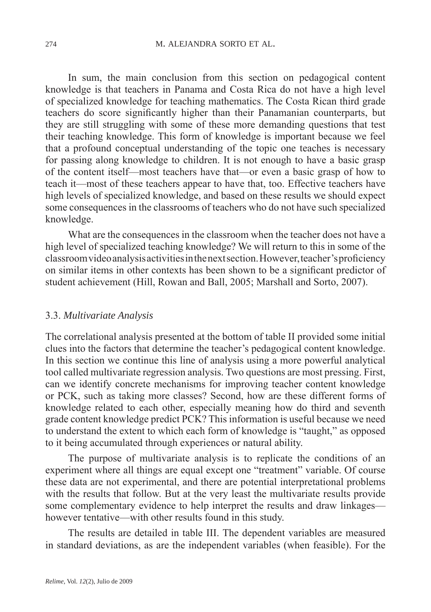In sum, the main conclusion from this section on pedagogical content knowledge is that teachers in Panama and Costa Rica do not have a high level of specialized knowledge for teaching mathematics. The Costa Rican third grade teachers do score significantly higher than their Panamanian counterparts, but they are still struggling with some of these more demanding questions that test their teaching knowledge. This form of knowledge is important because we feel that a profound conceptual understanding of the topic one teaches is necessary for passing along knowledge to children. It is not enough to have a basic grasp of the content itself—most teachers have that—or even a basic grasp of how to teach it—most of these teachers appear to have that, too. Effective teachers have high levels of specialized knowledge, and based on these results we should expect some consequences in the classrooms of teachers who do not have such specialized knowledge.

What are the consequences in the classroom when the teacher does not have a high level of specialized teaching knowledge? We will return to this in some of the classroom video analysis activities in the next section. However, teacher's proficiency on similar items in other contexts has been shown to be a significant predictor of student achievement (Hill, Rowan and Ball, 2005; Marshall and Sorto, 2007).

#### 3.3. *Multivariate Analysis*

The correlational analysis presented at the bottom of table II provided some initial clues into the factors that determine the teacher's pedagogical content knowledge. In this section we continue this line of analysis using a more powerful analytical tool called multivariate regression analysis. Two questions are most pressing. First, can we identify concrete mechanisms for improving teacher content knowledge or PCK, such as taking more classes? Second, how are these different forms of knowledge related to each other, especially meaning how do third and seventh grade content knowledge predict PCK? This information is useful because we need to understand the extent to which each form of knowledge is "taught," as opposed to it being accumulated through experiences or natural ability.

The purpose of multivariate analysis is to replicate the conditions of an experiment where all things are equal except one "treatment" variable. Of course these data are not experimental, and there are potential interpretational problems with the results that follow. But at the very least the multivariate results provide some complementary evidence to help interpret the results and draw linkages however tentative—with other results found in this study.

The results are detailed in table III. The dependent variables are measured in standard deviations, as are the independent variables (when feasible). For the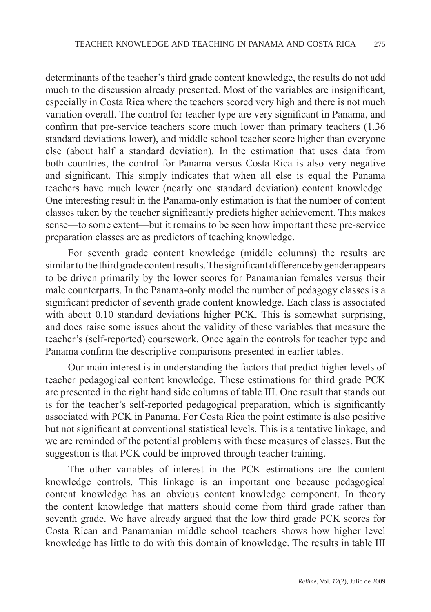determinants of the teacher's third grade content knowledge, the results do not add much to the discussion already presented. Most of the variables are insignificant, especially in Costa Rica where the teachers scored very high and there is not much variation overall. The control for teacher type are very significant in Panama, and confirm that pre-service teachers score much lower than primary teachers (1.36 standard deviations lower), and middle school teacher score higher than everyone else (about half a standard deviation). In the estimation that uses data from both countries, the control for Panama versus Costa Rica is also very negative and significant. This simply indicates that when all else is equal the Panama teachers have much lower (nearly one standard deviation) content knowledge. One interesting result in the Panama-only estimation is that the number of content classes taken by the teacher significantly predicts higher achievement. This makes sense—to some extent—but it remains to be seen how important these pre-service preparation classes are as predictors of teaching knowledge.

For seventh grade content knowledge (middle columns) the results are similar to the third grade content results. The significant difference by gender appears to be driven primarily by the lower scores for Panamanian females versus their male counterparts. In the Panama-only model the number of pedagogy classes is a significant predictor of seventh grade content knowledge. Each class is associated with about 0.10 standard deviations higher PCK. This is somewhat surprising, and does raise some issues about the validity of these variables that measure the teacher's (self-reported) coursework. Once again the controls for teacher type and Panama confirm the descriptive comparisons presented in earlier tables.

Our main interest is in understanding the factors that predict higher levels of teacher pedagogical content knowledge. These estimations for third grade PCK are presented in the right hand side columns of table III. One result that stands out is for the teacher's self-reported pedagogical preparation, which is significantly associated with PCK in Panama. For Costa Rica the point estimate is also positive but not significant at conventional statistical levels. This is a tentative linkage, and we are reminded of the potential problems with these measures of classes. But the suggestion is that PCK could be improved through teacher training.

The other variables of interest in the PCK estimations are the content knowledge controls. This linkage is an important one because pedagogical content knowledge has an obvious content knowledge component. In theory the content knowledge that matters should come from third grade rather than seventh grade. We have already argued that the low third grade PCK scores for Costa Rican and Panamanian middle school teachers shows how higher level knowledge has little to do with this domain of knowledge. The results in table III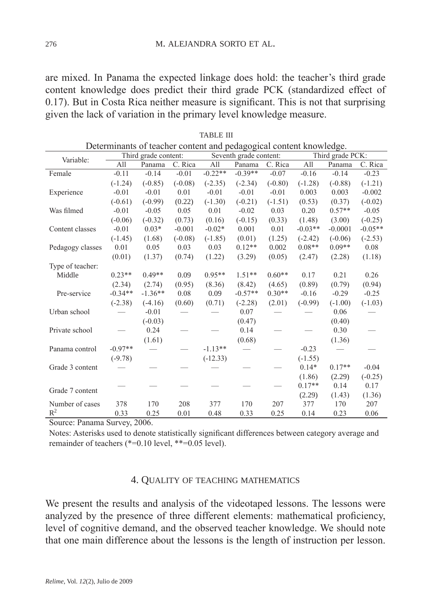are mixed. In Panama the expected linkage does hold: the teacher's third grade content knowledge does predict their third grade PCK (standardized effect of 0.17). But in Costa Rica neither measure is significant. This is not that surprising given the lack of variation in the primary level knowledge measure.

| Determinants of teacher content and pedagogical content knowledge. |                |                      |           |            |                        |           |           |                  |           |  |
|--------------------------------------------------------------------|----------------|----------------------|-----------|------------|------------------------|-----------|-----------|------------------|-----------|--|
| Variable:                                                          |                | Third grade content: |           |            | Seventh grade content: |           |           | Third grade PCK: |           |  |
|                                                                    | All            | Panama               | C. Rica   | All        | Panama                 | C. Rica   | All       | Panama           | C. Rica   |  |
| Female                                                             | $-0.11$        | $-0.14$              | $-0.01$   | $-0.22**$  | $-0.39**$              | $-0.07$   | $-0.16$   | $-0.14$          | $-0.23$   |  |
|                                                                    | $(-1.24)$      | $(-0.85)$            | $(-0.08)$ | $(-2.35)$  | $(-2.34)$              | $(-0.80)$ | $(-1.28)$ | $(-0.88)$        | $(-1.21)$ |  |
| Experience                                                         | $-0.01$        | $-0.01$              | 0.01      | $-0.01$    | $-0.01$                | $-0.01$   | 0.003     | 0.003            | $-0.002$  |  |
|                                                                    | $(-0.61)$      | $(-0.99)$            | (0.22)    | $(-1.30)$  | $(-0.21)$              | $(-1.51)$ | (0.53)    | (0.37)           | $(-0.02)$ |  |
| Was filmed                                                         | $-0.01$        | $-0.05$              | 0.05      | 0.01       | $-0.02$                | 0.03      | 0.20      | $0.57**$         | $-0.05$   |  |
|                                                                    | $(-0.06)$      | $(-0.32)$            | (0.73)    | (0.16)     | $(-0.15)$              | (0.33)    | (1.48)    | (3.00)           | $(-0.25)$ |  |
| Content classes                                                    | $-0.01$        | $0.03*$              | $-0.001$  | $-0.02*$   | 0.001                  | 0.01      | $-0.03**$ | $-0.0001$        | $-0.05**$ |  |
|                                                                    | $(-1.45)$      | (1.68)               | $(-0.08)$ | $(-1.85)$  | (0.01)                 | (1.25)    | $(-2.42)$ | $(-0.06)$        | $(-2.53)$ |  |
| Pedagogy classes                                                   | 0.01           | 0.05                 | 0.03      | 0.03       | $0.12**$               | 0.002     | $0.08**$  | $0.09**$         | 0.08      |  |
|                                                                    | (0.01)         | (1.37)               | (0.74)    | (1.22)     | (3.29)                 | (0.05)    | (2.47)    | (2.28)           | (1.18)    |  |
| Type of teacher:                                                   |                |                      |           |            |                        |           |           |                  |           |  |
| Middle                                                             | $0.23**$       | $0.49**$             | 0.09      | $0.95**$   | $1.51**$               | $0.60**$  | 0.17      | 0.21             | 0.26      |  |
|                                                                    | (2.34)         | (2.74)               | (0.95)    | (8.36)     | (8.42)                 | (4.65)    | (0.89)    | (0.79)           | (0.94)    |  |
| Pre-service                                                        | $-0.34**$      | $-1.36**$            | 0.08      | 0.09       | $-0.57**$              | $0.30**$  | $-0.16$   | $-0.29$          | $-0.25$   |  |
|                                                                    | $(-2.38)$      | $(-4.16)$            | (0.60)    | (0.71)     | $(-2.28)$              | (2.01)    | $(-0.99)$ | $(-1.00)$        | $(-1.03)$ |  |
| Urban school                                                       |                | $-0.01$              |           |            | 0.07                   |           |           | 0.06             |           |  |
|                                                                    |                | $(-0.03)$            |           |            | (0.47)                 |           |           | (0.40)           |           |  |
| Private school                                                     |                | 0.24                 |           |            | 0.14                   |           |           | 0.30             |           |  |
|                                                                    |                | (1.61)               |           |            | (0.68)                 |           |           | (1.36)           |           |  |
| Panama control                                                     | $-0.97**$      |                      |           | $-1.13**$  |                        |           | $-0.23$   |                  |           |  |
|                                                                    | $(-9.78)$      |                      |           | $(-12.33)$ |                        |           | $(-1.55)$ |                  |           |  |
| Grade 3 content                                                    |                |                      |           |            |                        |           | $0.14*$   | $0.17**$         | $-0.04$   |  |
|                                                                    |                |                      |           |            |                        |           | (1.86)    | (2.29)           | $(-0.25)$ |  |
| Grade 7 content                                                    |                |                      |           |            |                        |           | $0.17**$  | 0.14             | 0.17      |  |
|                                                                    |                |                      |           |            |                        |           | (2.29)    | (1.43)           | (1.36)    |  |
| Number of cases                                                    | 378            | 170                  | 208       | 377        | 170                    | 207       | 377       | 170              | 207       |  |
| $R^2$<br>$\overline{a}$<br>$\mathbf{r}$                            | 0.33<br>$\sim$ | 0.25<br>0.001        | 0.01      | 0.48       | 0.33                   | 0.25      | 0.14      | 0.23             | 0.06      |  |

table iii

Source: Panama Survey, 2006.

Notes: Asterisks used to denote statistically significant differences between category average and remainder of teachers (\*=0.10 level, \*\*=0.05 level).

#### 4. Quality of teaching mathematics

We present the results and analysis of the videotaped lessons. The lessons were analyzed by the presence of three different elements: mathematical proficiency, level of cognitive demand, and the observed teacher knowledge. We should note that one main difference about the lessons is the length of instruction per lesson.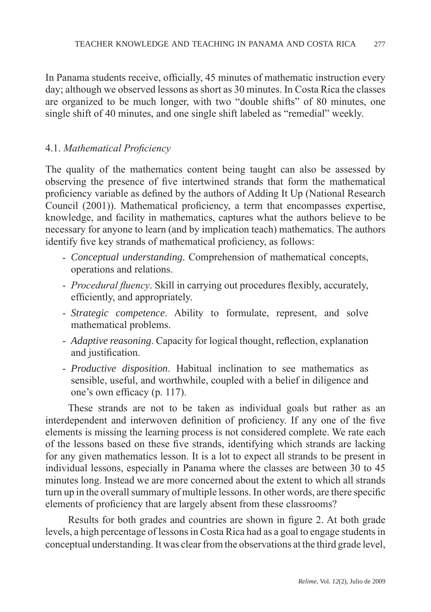In Panama students receive, officially, 45 minutes of mathematic instruction every day; although we observed lessons as short as 30 minutes. In Costa Rica the classes are organized to be much longer, with two "double shifts" of 80 minutes, one single shift of 40 minutes, and one single shift labeled as "remedial" weekly.

## 4.1. *Mathematical Proficiency*

The quality of the mathematics content being taught can also be assessed by observing the presence of five intertwined strands that form the mathematical proficiency variable as defined by the authors of Adding It Up (National Research Council (2001)). Mathematical proficiency, a term that encompasses expertise, knowledge, and facility in mathematics, captures what the authors believe to be necessary for anyone to learn (and by implication teach) mathematics. The authors identify five key strands of mathematical proficiency, as follows:

- *Conceptual understanding*. Comprehension of mathematical concepts, operations and relations.
- *Procedural fluency*. Skill in carrying out procedures flexibly, accurately, efficiently, and appropriately.
- *Strategic competence*. Ability to formulate, represent, and solve mathematical problems.
- *Adaptive reasoning*. Capacity for logical thought, reflection, explanation and justification.
- *Productive disposition*. Habitual inclination to see mathematics as sensible, useful, and worthwhile, coupled with a belief in diligence and one's own efficacy (p. 117).

These strands are not to be taken as individual goals but rather as an interdependent and interwoven definition of proficiency. If any one of the five elements is missing the learning process is not considered complete. We rate each of the lessons based on these five strands, identifying which strands are lacking for any given mathematics lesson. It is a lot to expect all strands to be present in individual lessons, especially in Panama where the classes are between 30 to 45 minutes long. Instead we are more concerned about the extent to which all strands turn up in the overall summary of multiple lessons. In other words, are there specific elements of proficiency that are largely absent from these classrooms?

Results for both grades and countries are shown in figure 2. At both grade levels, a high percentage of lessons in Costa Rica had as a goal to engage students in conceptual understanding. It was clear from the observations at the third grade level,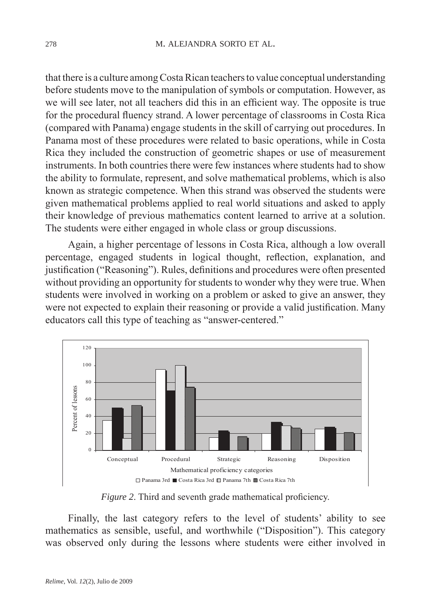that there is a culture among Costa Rican teachers to value conceptual understanding before students move to the manipulation of symbols or computation. However, as we will see later, not all teachers did this in an efficient way. The opposite is true for the procedural fluency strand. A lower percentage of classrooms in Costa Rica (compared with Panama) engage students in the skill of carrying out procedures. In Panama most of these procedures were related to basic operations, while in Costa Rica they included the construction of geometric shapes or use of measurement instruments. In both countries there were few instances where students had to show the ability to formulate, represent, and solve mathematical problems, which is also known as strategic competence. When this strand was observed the students were given mathematical problems applied to real world situations and asked to apply their knowledge of previous mathematics content learned to arrive at a solution. The students were either engaged in whole class or group discussions.

Again, a higher percentage of lessons in Costa Rica, although a low overall percentage, engaged students in logical thought, reflection, explanation, and justification ("Reasoning"). Rules, definitions and procedures were often presented without providing an opportunity for students to wonder why they were true. When students were involved in working on a problem or asked to give an answer, they were not expected to explain their reasoning or provide a valid justification. Many educators call this type of teaching as "answer-centered."



*Figure 2*. Third and seventh grade mathematical proficiency.

Finally, the last category refers to the level of students' ability to see mathematics as sensible, useful, and worthwhile ("Disposition"). This category was observed only during the lessons where students were either involved in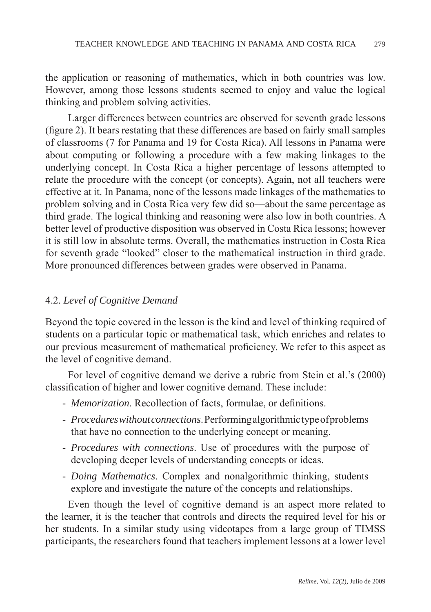the application or reasoning of mathematics, which in both countries was low. However, among those lessons students seemed to enjoy and value the logical thinking and problem solving activities.

Larger differences between countries are observed for seventh grade lessons (figure 2). It bears restating that these differences are based on fairly small samples of classrooms (7 for Panama and 19 for Costa Rica). All lessons in Panama were about computing or following a procedure with a few making linkages to the underlying concept. In Costa Rica a higher percentage of lessons attempted to relate the procedure with the concept (or concepts). Again, not all teachers were effective at it. In Panama, none of the lessons made linkages of the mathematics to problem solving and in Costa Rica very few did so—about the same percentage as third grade. The logical thinking and reasoning were also low in both countries. A better level of productive disposition was observed in Costa Rica lessons; however it is still low in absolute terms. Overall, the mathematics instruction in Costa Rica for seventh grade "looked" closer to the mathematical instruction in third grade. More pronounced differences between grades were observed in Panama.

### 4.2. *Level of Cognitive Demand*

Beyond the topic covered in the lesson is the kind and level of thinking required of students on a particular topic or mathematical task, which enriches and relates to our previous measurement of mathematical proficiency. We refer to this aspect as the level of cognitive demand.

For level of cognitive demand we derive a rubric from Stein et al.'s (2000) classification of higher and lower cognitive demand. These include:

- *Memorization*. Recollection of facts, formulae, or definitions.
- *Procedures without connections*. Performing algorithmic type of problems that have no connection to the underlying concept or meaning.
- *Procedures with connections*. Use of procedures with the purpose of developing deeper levels of understanding concepts or ideas.
- *Doing Mathematics*. Complex and nonalgorithmic thinking, students explore and investigate the nature of the concepts and relationships.

Even though the level of cognitive demand is an aspect more related to the learner, it is the teacher that controls and directs the required level for his or her students. In a similar study using videotapes from a large group of TIMSS participants, the researchers found that teachers implement lessons at a lower level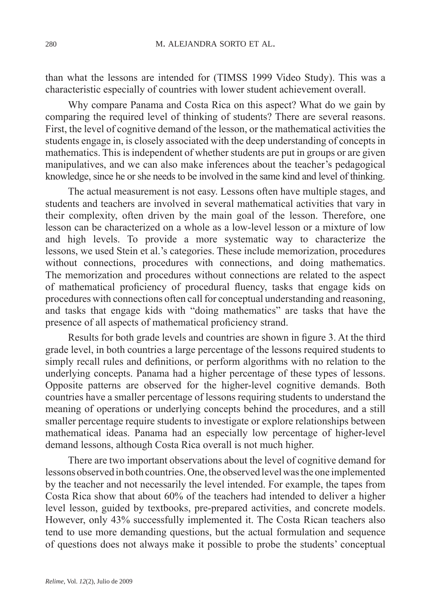than what the lessons are intended for (TIMSS 1999 Video Study). This was a characteristic especially of countries with lower student achievement overall.

Why compare Panama and Costa Rica on this aspect? What do we gain by comparing the required level of thinking of students? There are several reasons. First, the level of cognitive demand of the lesson, or the mathematical activities the students engage in, is closely associated with the deep understanding of concepts in mathematics. This is independent of whether students are put in groups or are given manipulatives, and we can also make inferences about the teacher's pedagogical knowledge, since he or she needs to be involved in the same kind and level of thinking.

The actual measurement is not easy. Lessons often have multiple stages, and students and teachers are involved in several mathematical activities that vary in their complexity, often driven by the main goal of the lesson. Therefore, one lesson can be characterized on a whole as a low-level lesson or a mixture of low and high levels. To provide a more systematic way to characterize the lessons, we used Stein et al.'s categories. These include memorization, procedures without connections, procedures with connections, and doing mathematics. The memorization and procedures without connections are related to the aspect of mathematical proficiency of procedural fluency, tasks that engage kids on procedures with connections often call for conceptual understanding and reasoning, and tasks that engage kids with "doing mathematics" are tasks that have the presence of all aspects of mathematical proficiency strand.

Results for both grade levels and countries are shown in figure 3. At the third grade level, in both countries a large percentage of the lessons required students to simply recall rules and definitions, or perform algorithms with no relation to the underlying concepts. Panama had a higher percentage of these types of lessons. Opposite patterns are observed for the higher-level cognitive demands. Both countries have a smaller percentage of lessons requiring students to understand the meaning of operations or underlying concepts behind the procedures, and a still smaller percentage require students to investigate or explore relationships between mathematical ideas. Panama had an especially low percentage of higher-level demand lessons, although Costa Rica overall is not much higher.

There are two important observations about the level of cognitive demand for lessons observed in both countries. One, the observed level was the one implemented by the teacher and not necessarily the level intended. For example, the tapes from Costa Rica show that about 60% of the teachers had intended to deliver a higher level lesson, guided by textbooks, pre-prepared activities, and concrete models. However, only 43% successfully implemented it. The Costa Rican teachers also tend to use more demanding questions, but the actual formulation and sequence of questions does not always make it possible to probe the students' conceptual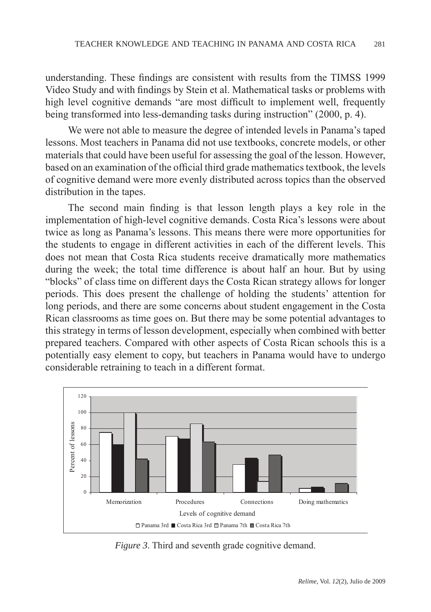understanding. These findings are consistent with results from the TIMSS 1999 Video Study and with findings by Stein et al. Mathematical tasks or problems with high level cognitive demands "are most difficult to implement well, frequently being transformed into less-demanding tasks during instruction" (2000, p. 4).

We were not able to measure the degree of intended levels in Panama's taped lessons. Most teachers in Panama did not use textbooks, concrete models, or other materials that could have been useful for assessing the goal of the lesson. However, based on an examination of the official third grade mathematics textbook, the levels of cognitive demand were more evenly distributed across topics than the observed distribution in the tapes.

The second main finding is that lesson length plays a key role in the implementation of high-level cognitive demands. Costa Rica's lessons were about twice as long as Panama's lessons. This means there were more opportunities for the students to engage in different activities in each of the different levels. This does not mean that Costa Rica students receive dramatically more mathematics during the week; the total time difference is about half an hour. But by using "blocks" of class time on different days the Costa Rican strategy allows for longer periods. This does present the challenge of holding the students' attention for long periods, and there are some concerns about student engagement in the Costa Rican classrooms as time goes on. But there may be some potential advantages to this strategy in terms of lesson development, especially when combined with better prepared teachers. Compared with other aspects of Costa Rican schools this is a potentially easy element to copy, but teachers in Panama would have to undergo considerable retraining to teach in a different format.



*Figure 3.* Third and seventh grade cognitive demand.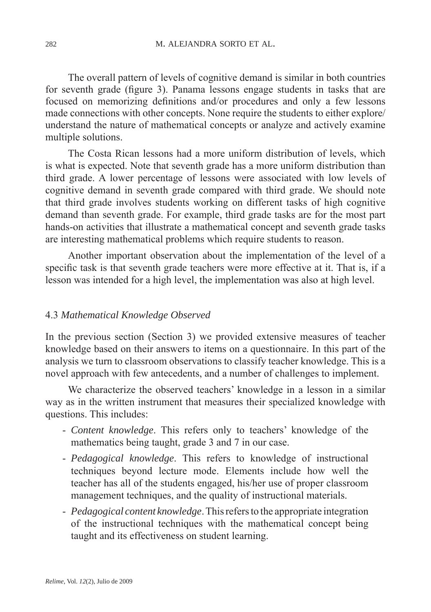The overall pattern of levels of cognitive demand is similar in both countries for seventh grade (figure 3). Panama lessons engage students in tasks that are focused on memorizing definitions and/or procedures and only a few lessons made connections with other concepts. None require the students to either explore/ understand the nature of mathematical concepts or analyze and actively examine multiple solutions.

The Costa Rican lessons had a more uniform distribution of levels, which is what is expected. Note that seventh grade has a more uniform distribution than third grade. A lower percentage of lessons were associated with low levels of cognitive demand in seventh grade compared with third grade. We should note that third grade involves students working on different tasks of high cognitive demand than seventh grade. For example, third grade tasks are for the most part hands-on activities that illustrate a mathematical concept and seventh grade tasks are interesting mathematical problems which require students to reason.

Another important observation about the implementation of the level of a specific task is that seventh grade teachers were more effective at it. That is, if a lesson was intended for a high level, the implementation was also at high level.

#### 4.3 *Mathematical Knowledge Observed*

In the previous section (Section 3) we provided extensive measures of teacher knowledge based on their answers to items on a questionnaire. In this part of the analysis we turn to classroom observations to classify teacher knowledge. This is a novel approach with few antecedents, and a number of challenges to implement.

We characterize the observed teachers' knowledge in a lesson in a similar way as in the written instrument that measures their specialized knowledge with questions. This includes:

- *Content knowledge*. This refers only to teachers' knowledge of the mathematics being taught, grade 3 and 7 in our case.
- *Pedagogical knowledge*. This refers to knowledge of instructional techniques beyond lecture mode. Elements include how well the teacher has all of the students engaged, his/her use of proper classroom management techniques, and the quality of instructional materials.
- *Pedagogical content knowledge*. This refers to the appropriate integration of the instructional techniques with the mathematical concept being taught and its effectiveness on student learning.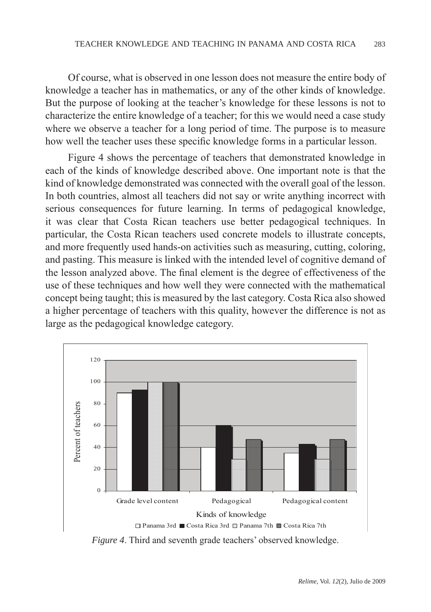Of course, what is observed in one lesson does not measure the entire body of knowledge a teacher has in mathematics, or any of the other kinds of knowledge. But the purpose of looking at the teacher's knowledge for these lessons is not to characterize the entire knowledge of a teacher; for this we would need a case study where we observe a teacher for a long period of time. The purpose is to measure how well the teacher uses these specific knowledge forms in a particular lesson.

Figure 4 shows the percentage of teachers that demonstrated knowledge in each of the kinds of knowledge described above. One important note is that the kind of knowledge demonstrated was connected with the overall goal of the lesson. In both countries, almost all teachers did not say or write anything incorrect with serious consequences for future learning. In terms of pedagogical knowledge, it was clear that Costa Rican teachers use better pedagogical techniques. In particular, the Costa Rican teachers used concrete models to illustrate concepts, and more frequently used hands-on activities such as measuring, cutting, coloring, and pasting. This measure is linked with the intended level of cognitive demand of the lesson analyzed above. The final element is the degree of effectiveness of the use of these techniques and how well they were connected with the mathematical concept being taught; this is measured by the last category. Costa Rica also showed a higher percentage of teachers with this quality, however the difference is not as large as the pedagogical knowledge category.



*Figure 4*. Third and seventh grade teachers' observed knowledge.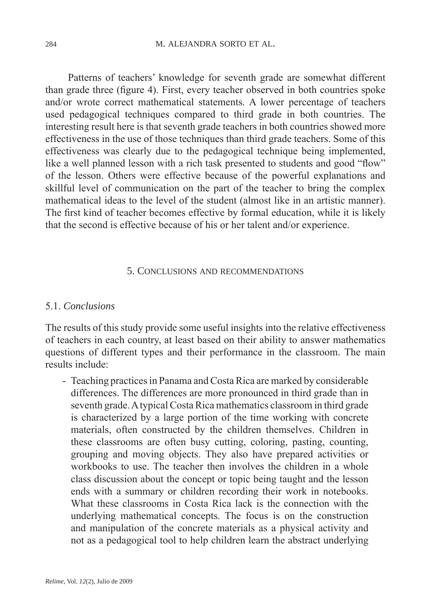Patterns of teachers' knowledge for seventh grade are somewhat different than grade three (figure 4). First, every teacher observed in both countries spoke and/or wrote correct mathematical statements. A lower percentage of teachers used pedagogical techniques compared to third grade in both countries. The interesting result here is that seventh grade teachers in both countries showed more effectiveness in the use of those techniques than third grade teachers. Some of this effectiveness was clearly due to the pedagogical technique being implemented, like a well planned lesson with a rich task presented to students and good "flow" of the lesson. Others were effective because of the powerful explanations and skillful level of communication on the part of the teacher to bring the complex mathematical ideas to the level of the student (almost like in an artistic manner). The first kind of teacher becomes effective by formal education, while it is likely that the second is effective because of his or her talent and/or experience.

#### 5. Conclusions and recommendations

#### 5.1. *Conclusions*

The results of this study provide some useful insights into the relative effectiveness of teachers in each country, at least based on their ability to answer mathematics questions of different types and their performance in the classroom. The main results include:

- Teaching practices in Panama and Costa Rica are marked by considerable differences. The differences are more pronounced in third grade than in seventh grade. A typical Costa Rica mathematics classroom in third grade is characterized by a large portion of the time working with concrete materials, often constructed by the children themselves. Children in these classrooms are often busy cutting, coloring, pasting, counting, grouping and moving objects. They also have prepared activities or workbooks to use. The teacher then involves the children in a whole class discussion about the concept or topic being taught and the lesson ends with a summary or children recording their work in notebooks. What these classrooms in Costa Rica lack is the connection with the underlying mathematical concepts. The focus is on the construction and manipulation of the concrete materials as a physical activity and not as a pedagogical tool to help children learn the abstract underlying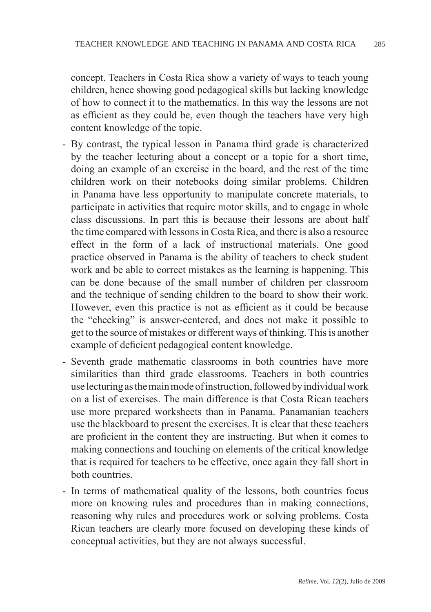concept. Teachers in Costa Rica show a variety of ways to teach young children, hence showing good pedagogical skills but lacking knowledge of how to connect it to the mathematics. In this way the lessons are not as efficient as they could be, even though the teachers have very high content knowledge of the topic.

- By contrast, the typical lesson in Panama third grade is characterized by the teacher lecturing about a concept or a topic for a short time, doing an example of an exercise in the board, and the rest of the time children work on their notebooks doing similar problems. Children in Panama have less opportunity to manipulate concrete materials, to participate in activities that require motor skills, and to engage in whole class discussions. In part this is because their lessons are about half the time compared with lessons in Costa Rica, and there is also a resource effect in the form of a lack of instructional materials. One good practice observed in Panama is the ability of teachers to check student work and be able to correct mistakes as the learning is happening. This can be done because of the small number of children per classroom and the technique of sending children to the board to show their work. However, even this practice is not as efficient as it could be because the "checking" is answer-centered, and does not make it possible to get to the source of mistakes or different ways of thinking. This is another example of deficient pedagogical content knowledge.
- Seventh grade mathematic classrooms in both countries have more similarities than third grade classrooms. Teachers in both countries use lecturing as the main mode of instruction, followed by individual work on a list of exercises. The main difference is that Costa Rican teachers use more prepared worksheets than in Panama. Panamanian teachers use the blackboard to present the exercises. It is clear that these teachers are proficient in the content they are instructing. But when it comes to making connections and touching on elements of the critical knowledge that is required for teachers to be effective, once again they fall short in both countries.
- In terms of mathematical quality of the lessons, both countries focus more on knowing rules and procedures than in making connections, reasoning why rules and procedures work or solving problems. Costa Rican teachers are clearly more focused on developing these kinds of conceptual activities, but they are not always successful.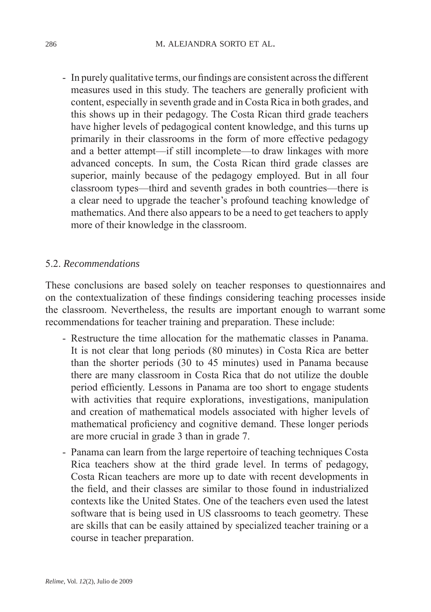- In purely qualitative terms, our findings are consistent across the different measures used in this study. The teachers are generally proficient with content, especially in seventh grade and in Costa Rica in both grades, and this shows up in their pedagogy. The Costa Rican third grade teachers have higher levels of pedagogical content knowledge, and this turns up primarily in their classrooms in the form of more effective pedagogy and a better attempt—if still incomplete—to draw linkages with more advanced concepts. In sum, the Costa Rican third grade classes are superior, mainly because of the pedagogy employed. But in all four classroom types—third and seventh grades in both countries—there is a clear need to upgrade the teacher's profound teaching knowledge of mathematics. And there also appears to be a need to get teachers to apply more of their knowledge in the classroom.

## 5.2. *Recommendations*

These conclusions are based solely on teacher responses to questionnaires and on the contextualization of these findings considering teaching processes inside the classroom. Nevertheless, the results are important enough to warrant some recommendations for teacher training and preparation. These include:

- Restructure the time allocation for the mathematic classes in Panama. It is not clear that long periods (80 minutes) in Costa Rica are better than the shorter periods (30 to 45 minutes) used in Panama because there are many classroom in Costa Rica that do not utilize the double period efficiently. Lessons in Panama are too short to engage students with activities that require explorations, investigations, manipulation and creation of mathematical models associated with higher levels of mathematical proficiency and cognitive demand. These longer periods are more crucial in grade 3 than in grade 7.
- Panama can learn from the large repertoire of teaching techniques Costa Rica teachers show at the third grade level. In terms of pedagogy, Costa Rican teachers are more up to date with recent developments in the field, and their classes are similar to those found in industrialized contexts like the United States. One of the teachers even used the latest software that is being used in US classrooms to teach geometry. These are skills that can be easily attained by specialized teacher training or a course in teacher preparation.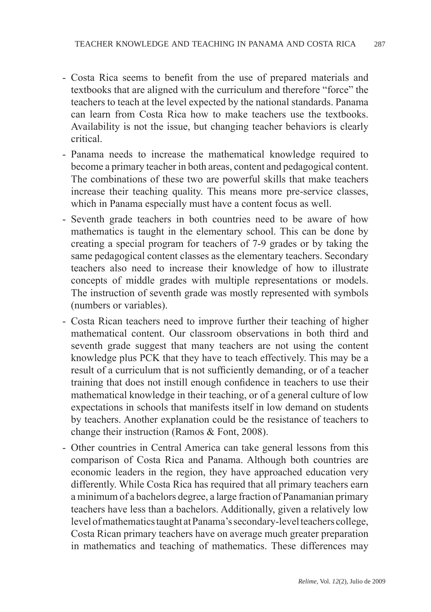- Costa Rica seems to benefit from the use of prepared materials and textbooks that are aligned with the curriculum and therefore "force" the teachers to teach at the level expected by the national standards. Panama can learn from Costa Rica how to make teachers use the textbooks. Availability is not the issue, but changing teacher behaviors is clearly critical.
- Panama needs to increase the mathematical knowledge required to become a primary teacher in both areas, content and pedagogical content. The combinations of these two are powerful skills that make teachers increase their teaching quality. This means more pre-service classes, which in Panama especially must have a content focus as well.
- Seventh grade teachers in both countries need to be aware of how mathematics is taught in the elementary school. This can be done by creating a special program for teachers of 7-9 grades or by taking the same pedagogical content classes as the elementary teachers. Secondary teachers also need to increase their knowledge of how to illustrate concepts of middle grades with multiple representations or models. The instruction of seventh grade was mostly represented with symbols (numbers or variables).
- Costa Rican teachers need to improve further their teaching of higher mathematical content. Our classroom observations in both third and seventh grade suggest that many teachers are not using the content knowledge plus PCK that they have to teach effectively. This may be a result of a curriculum that is not sufficiently demanding, or of a teacher training that does not instill enough confidence in teachers to use their mathematical knowledge in their teaching, or of a general culture of low expectations in schools that manifests itself in low demand on students by teachers. Another explanation could be the resistance of teachers to change their instruction (Ramos & Font, 2008).
- Other countries in Central America can take general lessons from this comparison of Costa Rica and Panama. Although both countries are economic leaders in the region, they have approached education very differently. While Costa Rica has required that all primary teachers earn a minimum of a bachelors degree, a large fraction of Panamanian primary teachers have less than a bachelors. Additionally, given a relatively low level of mathematics taught at Panama's secondary-level teachers college, Costa Rican primary teachers have on average much greater preparation in mathematics and teaching of mathematics. These differences may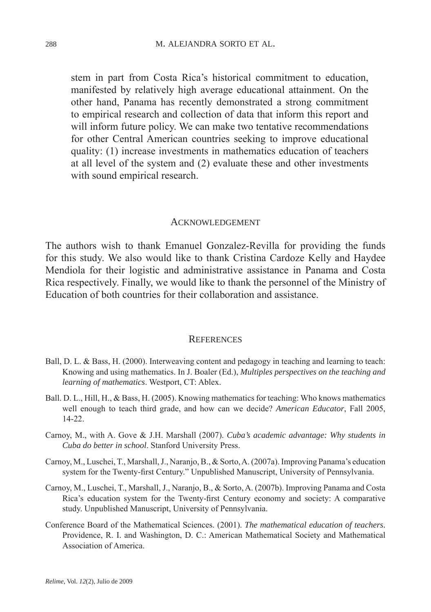stem in part from Costa Rica's historical commitment to education, manifested by relatively high average educational attainment. On the other hand, Panama has recently demonstrated a strong commitment to empirical research and collection of data that inform this report and will inform future policy. We can make two tentative recommendations for other Central American countries seeking to improve educational quality: (1) increase investments in mathematics education of teachers at all level of the system and (2) evaluate these and other investments with sound empirical research.

#### Acknowledgement

The authors wish to thank Emanuel Gonzalez-Revilla for providing the funds for this study. We also would like to thank Cristina Cardoze Kelly and Haydee Mendiola for their logistic and administrative assistance in Panama and Costa Rica respectively. Finally, we would like to thank the personnel of the Ministry of Education of both countries for their collaboration and assistance.

#### **REFERENCES**

- Ball, D. L. & Bass, H. (2000). Interweaving content and pedagogy in teaching and learning to teach: Knowing and using mathematics. In J. Boaler (Ed.), *Multiples perspectives on the teaching and learning of mathematics*. Westport, CT: Ablex.
- Ball. D. L., Hill, H., & Bass, H. (2005). Knowing mathematics for teaching: Who knows mathematics well enough to teach third grade, and how can we decide? *American Educator*, Fall 2005, 14-22.
- Carnoy, M., with A. Gove & J.H. Marshall (2007). *Cuba's academic advantage: Why students in Cuba do better in school*. Stanford University Press.
- Carnoy, M., Luschei, T., Marshall, J., Naranjo, B., & Sorto, A. (2007a). Improving Panama's education system for the Twenty-first Century." Unpublished Manuscript, University of Pennsylvania.
- Carnoy, M., Luschei, T., Marshall, J., Naranjo, B., & Sorto, A. (2007b). Improving Panama and Costa Rica's education system for the Twenty-first Century economy and society: A comparative study. Unpublished Manuscript, University of Pennsylvania.
- Conference Board of the Mathematical Sciences. (2001). *The mathematical education of teachers*. Providence, R. I. and Washington, D. C.: American Mathematical Society and Mathematical Association of America.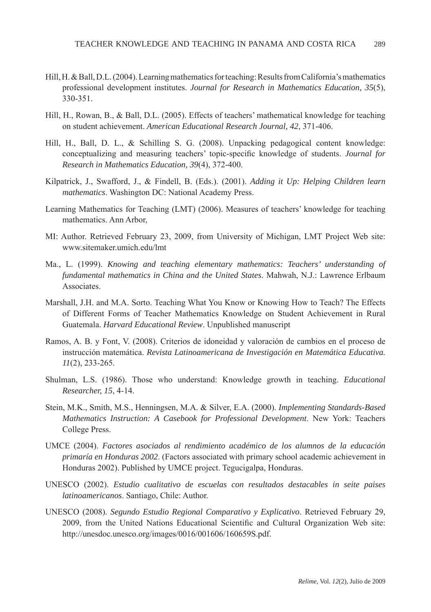- Hill, H. & Ball, D.L. (2004). Learning mathematics for teaching: Results from California's mathematics professional development institutes. *Journal for Research in Mathematics Education, 35*(5), 330-351.
- Hill, H., Rowan, B., & Ball, D.L. (2005). Effects of teachers' mathematical knowledge for teaching on student achievement. *American Educational Research Journal, 42*, 371-406.
- Hill, H., Ball, D. L., & Schilling S. G. (2008). Unpacking pedagogical content knowledge: conceptualizing and measuring teachers' topic-specific knowledge of students. *Journal for Research in Mathematics Education, 39*(4), 372-400.
- Kilpatrick, J., Swafford, J., & Findell, B. (Eds.). (2001). *Adding it Up: Helping Children learn mathematics*. Washington DC: National Academy Press.
- Learning Mathematics for Teaching (LMT) (2006). Measures of teachers' knowledge for teaching mathematics. Ann Arbor,
- MI: Author. Retrieved February 23, 2009, from University of Michigan, LMT Project Web site: www.sitemaker.umich.edu/lmt
- Ma., L. (1999). *Knowing and teaching elementary mathematics: Teachers' understanding of fundamental mathematics in China and the United States*. Mahwah, N.J.: Lawrence Erlbaum Associates.
- Marshall, J.H. and M.A. Sorto. Teaching What You Know or Knowing How to Teach? The Effects of Different Forms of Teacher Mathematics Knowledge on Student Achievement in Rural Guatemala. *Harvard Educational Review*. Unpublished manuscript
- Ramos, A. B. y Font, V. (2008). Criterios de idoneidad y valoración de cambios en el proceso de instrucción matemática. *Revista Latinoamericana de Investigación en Matemática Educativa. 11*(2), 233-265.
- Shulman, L.S. (1986). Those who understand: Knowledge growth in teaching. *Educational Researcher, 15*, 4-14.
- Stein, M.K., Smith, M.S., Henningsen, M.A. & Silver, E.A. (2000). *Implementing Standards-Based Mathematics Instruction: A Casebook for Professional Development*. New York: Teachers College Press.
- UMCE (2004). *Factores asociados al rendimiento académico de los alumnos de la educación primaría en Honduras 2002*. (Factors associated with primary school academic achievement in Honduras 2002). Published by UMCE project. Tegucigalpa, Honduras.
- UNESCO (2002). *Estudio cualitativo de escuelas con resultados destacables in seite paises latinoamericanos*. Santiago, Chile: Author.
- UNESCO (2008). *Segundo Estudio Regional Comparativo y Explicativo*. Retrieved February 29, 2009, from the United Nations Educational Scientific and Cultural Organization Web site: http://unesdoc.unesco.org/images/0016/001606/160659S.pdf.